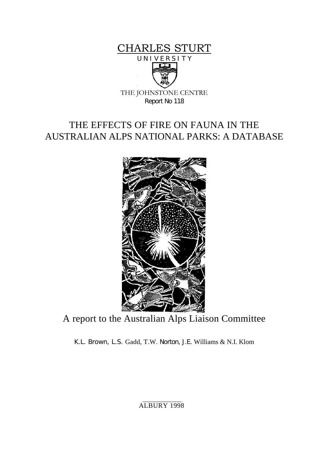



THE JOHNSTONE CENTRE Report No 118

# THE EFFECTS OF FIRE ON FAUNA IN THE AUSTRALIAN ALPS NATIONAL PARKS: A DATABASE



A report to the Australian Alps Liaison Committee

K.L. Brown, L.S. Gadd, T.W. Norton, J.E. Williams & N.I. Klom

ALBURY 1998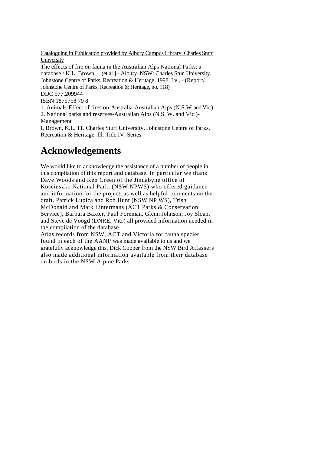Cataloguing in Publication provided by Albury Campus Library, Charles Sturt University

The effects of fire on fauna in the Australian Alps National Parks: a database / K.L. Brown ... (et al.] - Albury. NSW: Charles Stun University, Johnstone Centre of Parks, Recreation & Heritage. 1998. I v., - (Report/ Johnstone Centre of Parks, Recreation & Heritage, no. 118) DDC 577.209944 ISBN 1875758 79 8 1. Animals-Effect of fires on-Australia-Australian Alps (N.S.W. and Vic.) 2. National parks and reserves-Australian Alps (N.S. W. and Vic.)- Management

I. Brown, K.L. 11. Charles Sturt University. Johnstone Centre of Parks, Recreation & Heritage. Ill. Tide IV. Series.

# **Acknowledgements**

We would like to acknowledge the assistance of a number of people in this compilation of this report and database. In particular we thank Dave Woods and Ken Green of the Jindabyne office of Kosciuszko National Park, (NSW NPWS) who offered guidance and information for the project, as well as helpful comments on the draft. Patrick Lupica and Rob Hunt (NSW NP WS), Trish McDonald and Mark Lintermans (ACT Parks & Conservation Service), Barbara Baxter, Paul Foreman, Glenn Johnson, Joy Sloan, and Steve de Voogd (DNRE, Vic.) all provided information needed in the compilation of the database.

Atlas records from NSW, ACT and Victoria for fauna species found in each of the AANP was made available to us and we gratefully acknowledge this. Dick Cooper from the NSW Bird Atlassers also made additional information available from their database on birds in the NSW Alpine Parks.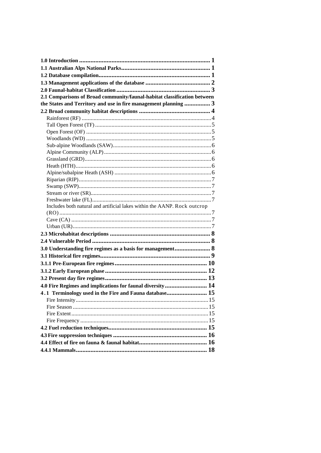| 2.1 Comparisons of Broad community/faunal-habitat classification between |  |
|--------------------------------------------------------------------------|--|
| the States and Territory and use in fire management planning  3          |  |
|                                                                          |  |
|                                                                          |  |
|                                                                          |  |
|                                                                          |  |
|                                                                          |  |
|                                                                          |  |
|                                                                          |  |
|                                                                          |  |
|                                                                          |  |
|                                                                          |  |
|                                                                          |  |
|                                                                          |  |
|                                                                          |  |
|                                                                          |  |
| Includes both natural and artificial lakes within the AANP. Rock outcrop |  |
|                                                                          |  |
|                                                                          |  |
|                                                                          |  |
|                                                                          |  |
|                                                                          |  |
| 3.0 Understanding fire regimes as a basis for management 8               |  |
|                                                                          |  |
|                                                                          |  |
|                                                                          |  |
|                                                                          |  |
| 4.0 Fire Regimes and implications for faunal diversity 14                |  |
| 4.1 Terminology used in the Fire and Fauna database 15                   |  |
|                                                                          |  |
|                                                                          |  |
|                                                                          |  |
|                                                                          |  |
|                                                                          |  |
|                                                                          |  |
|                                                                          |  |
|                                                                          |  |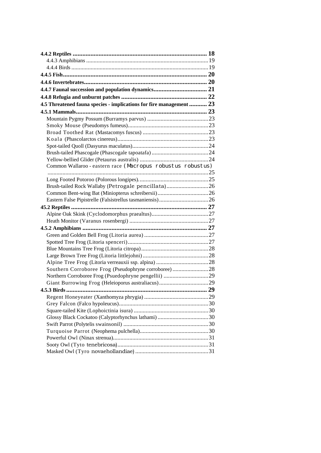| 4.5 Threatened fauna species - implications for fire management  23 |    |
|---------------------------------------------------------------------|----|
|                                                                     |    |
|                                                                     |    |
|                                                                     |    |
|                                                                     |    |
|                                                                     |    |
|                                                                     |    |
|                                                                     |    |
|                                                                     |    |
| Common Wallaroo - eastern race (Macropus robustus robustus)         |    |
|                                                                     |    |
|                                                                     |    |
| Brush-tailed Rock Wallaby (Petrogale pencillata)26                  |    |
|                                                                     |    |
|                                                                     |    |
|                                                                     |    |
|                                                                     |    |
|                                                                     |    |
|                                                                     |    |
|                                                                     |    |
|                                                                     |    |
|                                                                     |    |
|                                                                     |    |
|                                                                     |    |
| Southern Corroboree Frog (Pseudophryne corroboree)28                |    |
|                                                                     |    |
| $453$ Rirde                                                         |    |
|                                                                     | 29 |
|                                                                     |    |
|                                                                     |    |
|                                                                     |    |
|                                                                     |    |
|                                                                     |    |
|                                                                     |    |
|                                                                     |    |
|                                                                     |    |
|                                                                     |    |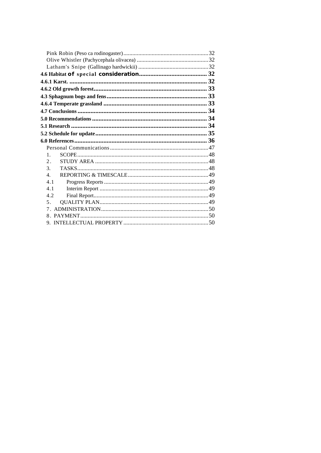| 1.               |  |
|------------------|--|
| $\mathfrak{D}$ . |  |
| $\mathcal{F}$    |  |
| $\overline{4}$   |  |
| 4.1              |  |
| 4.1              |  |
| 4.2              |  |
| 5 <sub>1</sub>   |  |
|                  |  |
|                  |  |
|                  |  |
|                  |  |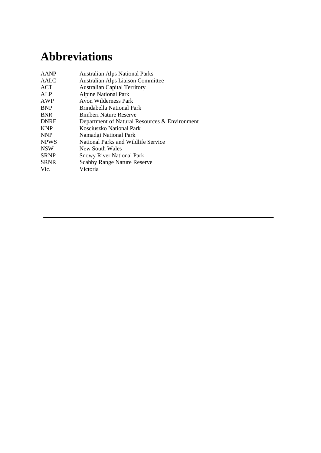# **Abbreviations**

| <b>AANP</b> | <b>Australian Alps National Parks</b>         |
|-------------|-----------------------------------------------|
| AALC        | <b>Australian Alps Liaison Committee</b>      |
| ACT         | <b>Australian Capital Territory</b>           |
| ALP         | <b>Alpine National Park</b>                   |
| AWP         | Avon Wilderness Park                          |
| <b>BNP</b>  | Brindabella National Park                     |
| <b>BNR</b>  | Bimberi Nature Reserve                        |
| <b>DNRE</b> | Department of Natural Resources & Environment |
| <b>KNP</b>  | Kosciuszko National Park                      |
| <b>NNP</b>  | Namadgi National Park                         |
| <b>NPWS</b> | National Parks and Wildlife Service           |
| <b>NSW</b>  | New South Wales                               |
| <b>SRNP</b> | <b>Snowy River National Park</b>              |
| <b>SRNR</b> | <b>Scabby Range Nature Reserve</b>            |
| Vic.        | Victoria                                      |
|             |                                               |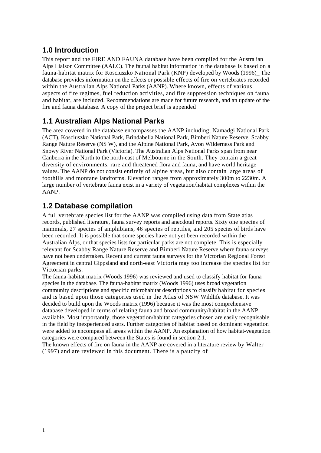### <span id="page-6-0"></span>**1.0 Introduction**

This report and the FIRE AND FAUNA database have been compiled for the Australian Alps Liaison Committee (AALC). The faunal habitat information in the database is based on a fauna-habitat matrix for Kosciuszko National Park (KNP) developed by Woods (1996)\_ The database provides information on the effects or possible effects of fire on vertebrates recorded within the Australian Alps National Parks (AANP). Where known, effects of various aspects of fire regimes, fuel reduction activities, and fire suppression techniques on fauna and habitat, are included. Recommendations are made for future research, and an update of the fire and fauna database. A copy of the project brief is appended

### <span id="page-6-1"></span>**1.1 Australian Alps National Parks**

The area covered in the database encompasses the AANP including; Namadgi National Park (ACT), Kosciuszko National Park, Brindabella National Park, Bimberi Nature Reserve, Scabby Range Nature Reserve (NS W), and the Alpine National Park, Avon Wilderness Park and Snowy River National Park (Victoria). The Australian Alps National Parks span from near Canberra in the North to the north-east of Melbourne in the South. They contain a great diversity of environments, rare and threatened flora and fauna, and have world heritage values. The AANP do not consist entirely of alpine areas, but also contain large areas of foothills and montane landforms. Elevation ranges from approximately 300m to 2230m. A large number of vertebrate fauna exist in a variety of vegetation/habitat complexes within the AANP.

### <span id="page-6-2"></span>**1.2 Database compilation**

A full vertebrate species list for the AANP was compiled using data from State atlas records, published literature, fauna survey reports and anecdotal reports. Sixty one species of mammals, 27 species of amphibians, 46 species of reptiles, and 205 species of birds have been recorded. It is possible that some species have not yet been recorded within the Australian Alps, or that species lists for particular parks are not complete. This is especially relevant for Scabby Range Nature Reserve and Bimberi Nature Reserve where fauna surveys have not been undertaken. Recent and current fauna surveys for the Victorian Regional Forest Agreement in central Gippsland and north-east Victoria may too increase the species list for Victorian parks.

The fauna-habitat matrix (Woods 1996) was reviewed and used to classify habitat for fauna species in the database. The fauna-habitat matrix (Woods 1996) uses broad vegetation community descriptions and specific microhabitat descriptions to classify habitat for species and is based upon those categories used in the Atlas of NSW Wildlife database. It was decided to build upon the Woods matrix (1996) because it was the most comprehensive database developed in terms of relating fauna and broad community/habitat in the AANP available. Most importantly, those vegetation/habitat categories chosen are easily recognisable in the field by inexperienced users. Further categories of habitat based on dominant vegetation were added to encompass all areas within the AANP. An explanation of how habitat-vegetation categories were compared between the States is found in section 2.1.

The known effects of fire on fauna in the AANP are covered in a literature review by Walter (1997) and are reviewed in this document. There is a paucity of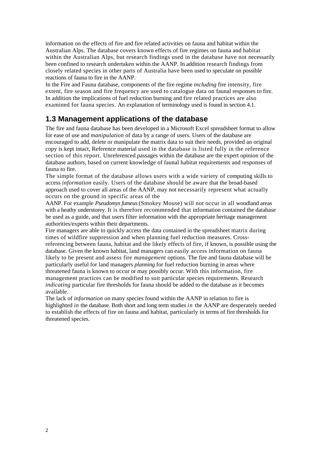information on the effects of fire and fire related activities on fauna and habitat within the Australian Alps. The database covers known effects of fire regimes on fauna and habitat within the Australian Alps, but research findings used in the database have not necessarily been confined to research undertaken within the AANP. In addition research findings from closely related species in other parts of Australia have been used to speculate on possible reactions of fauna to fire in the AANP.

In the Fire and Fauna database, components of the fire regime *including* fire intensity, fire extent, fire season and fire frequency are used to catalogue data on faunal responses to fire. In addition the implications of fuel reduction burning and fire related practices are also examined for fauna species. An explanation of terminology used is found in section 4.1.

### <span id="page-7-0"></span>**1.3 Management applications of the database**

The fire and fauna database has been developed in a Microsoft Excel spreadsheet format to allow for ease of use and *manipulation* of data by a range of users. Users of the database are encouraged to add, delete or manipulate the matrix data to suit their needs, provided an original copy is kept intact, Reference material used in the database is listed fully in the reference section of this report. Unreferenced passages within the database are the expert opinion of the database authors, based on current knowledge of faunal habitat requirements and responses of fauna to fire.

The simple format of the database allows users with a wide variety of computing skills to access *information* easily. Users of the database should be aware that the broad-based approach used to cover all areas of the AANP, may not necessarily represent what actually occurs on the ground in specific areas of the

AANP. For example *Pseudomys fumeus* (Smokey Mouse) will not occur in all woodland areas with a heathy understorey. It is therefore recommended that information contained the database be used as a guide, and that users filter information with the appropriate heritage management authorities/experts within their departments.

Fire managers are able to quickly access the data contained in the spreadsheet matrix during times of wildfire suppression and when planning fuel reduction measures. Crossreferencing between fauna, habitat and the likely effects of fire, if known, is possible using the database. Given the known habitat, land managers can easily access information on fauna likely to be present and assess fire *management* options. The fire and fauna database will be particularly useful for land managers *planning* for fuel reduction burning in areas where threatened fauna is known to occur or may possibly occur. With this information, fire management practices can be modified to suit particular species requirements. Research *indicating* particular fire thresholds for fauna should be added to the database as it becomes available.

The lack of *information* on many species found within the AANP in relation to fire is highlighted *in* the database. Both short and long term studies *in* the AANP are desperately needed to establish the effects of fire on fauna and habitat, particularly in terms of fire thresholds for threatened species.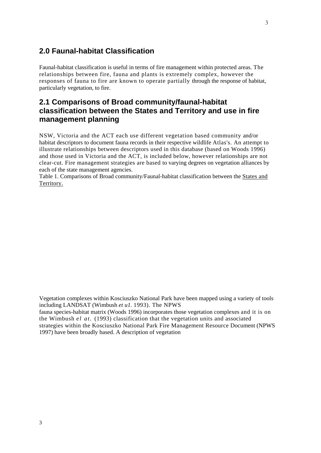#### <span id="page-8-0"></span>**2.0 Faunal-habitat Classification**

Faunal-habitat classification is useful in terms of fire management within protected areas. The relationships between fire, fauna and plants is extremely complex, however the responses of fauna to fire are known to operate partially through the response of habitat, particularly vegetation, to fire.

#### <span id="page-8-1"></span>**2.1 Comparisons of Broad community/faunal-habitat classification between the States and Territory and use in fire management planning**

NSW, Victoria and the ACT each use different vegetation based community and/or habitat descriptors to document fauna records in their respective wildlife Atlas's. An attempt to illustrate relationships between descriptors used in this database (based on Woods 1996) and those used in Victoria and the ACT, is included below, however relationships are not clear-cut. Fire management strategies are based to varying degrees on vegetation alliances by each of the state management agencies.

Table 1. Comparisons of Broad community/Faunal-habitat classification between the States and Territory.

Vegetation complexes within Kosciuszko National Park have been mapped using a variety of tools including LANDSAT (Wimbush *et u1.* 1993). The NPWS

fauna species-habitat matrix (Woods 1996) incorporates those vegetation complexes and it is on the Wimbush *el at.* (1993) classification that the vegetation units and associated strategies within the Kosciuszko National Park Fire Management Resource Document (NPWS 1997) have been broadly based. A description of vegetation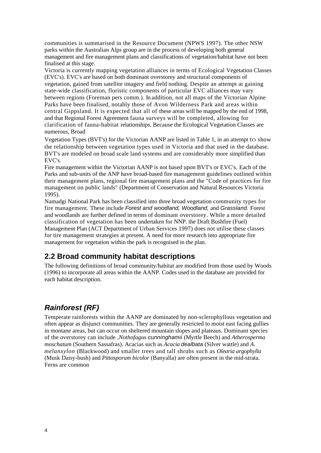communities is summarised in the Resource Document (NPWS 1997). The other NSW parks within the Australian Alps group are in the process of developing both general management and fire management plans and classifications of vegetation/habitat have not been finalised at this stage.

Victoria is currently mapping vegetation alliances in terms of Ecological Vegetation Classes (EVC's). EVC's are based on both dominant overstorey and structural components of vegetation, gained from satellite imagery and field nothing. Despite an attempt at gaining state-wide classification, floristic components of particular EVC alliances may vary between regions (Foreman pers comm.). In addition, not all maps of the Victorian Alpine Parks have been finalised, notably those of Avon Wilderness Park and areas within central Gippsland. It is expected that all of these areas will be mapped by the end of 1998, and that Regional Forest Agreement fauna surveys will be completed, allowing for clarification of fauna-habitat relationships. Because the Ecological Vegetation Classes are numerous, Broad

Vegetation Types (BVT's) for the Victorian AANP are listed in Table 1, in an attempt to show the relationship between vegetation types used in Victoria and that used in the database. BVT's are modeled on broad scale land systems and are considerably more simplified than EVC's.

Fire management within the Victorian AANP is not based upon BVT's or EVC's. Each of the Parks and sub-units of the ANP have broad-based fire management guidelines outlined within their management plans, regional fire management plans and the "Code of practices for fire management on public lands" (Department of Conservation and Natural Resources Victoria 1995).

Namadgi National Park has been classified into three broad vegetation community types for fire management. These include *Forest and woodland, Woodland,* and *Grassland.* Forest and woodlands are further defined in terms of dominant overstorey. While a more detailed classification of vegetation has been undertaken for NNP. the Draft Bushfire (Fuel) Management Plan (ACT Department of Urban Services 1997) does not utilise these classes for tire management strategies at present. A need for more research into appropriate fire management for vegetation within the park is recognised in the plan.

### <span id="page-9-0"></span>**2.2 Broad community habitat descriptions**

The following definitions of broad community/habitat are modified from those used by Woods (1996) to incorporate all areas within the AANP. Codes used in the database are provided for each habitat description.

### <span id="page-9-1"></span>*Rainforest (RF)*

Temperate rainforests within the AANP are dominated by non-sclerophyllous vegetation and often appear as disjunct communities. They are generally restricted to moist east facing gullies in montane areas, but can occur on sheltered mountain slopes and plateaus. Dominant species of the overstorey can include *,Nothofagus cunninghamii* (Myrtle Beech) and *Atherosperma moschatum* (Southern Sassafras). Acacias such as *Acacia dealbata* (Silver wattle) and *A. melanxylon* (Blackwood) and smaller trees and tall shrubs such as *Olearia argophylla*  (Musk Daisy-bush) and *Pittosporum bicolor* (Banyalla) are often present in the mid-strata. Ferns are common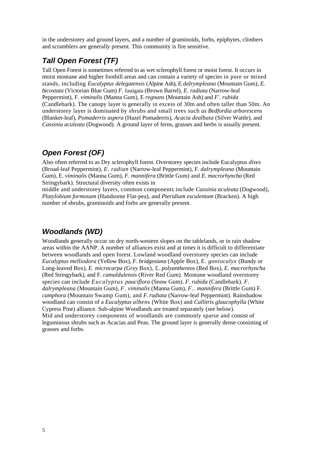in the understorey and ground layers, and a number of graminoids, forbs, epiphytes, climbers and scramblers are generally present. This community is fire sensitive.

### <span id="page-10-0"></span>*Tall Open Forest (TF)*

Tall Open Forest is sometimes referred to as wet sclerophyll forest or moist forest. It occurs in moist montane and higher foothill areas and can contain a variety of species in pure or mixed stands, including *Eucalyptus delegatensis* (Alpine Ash), *E. dalrympleana* (Mountain Gum), *E. bicostata* (Victorian Blue Gum) *F.* fastigata (Brown Barrel), *E. radiata* (Narrow-leaf Peppermint), F. *viminalis* (Manna Gum), E *regnans* (Mountain Ash) and *F'. rubida*  (Candlebark). The canopy layer is generally in excess of 30m and often taller than 50m. An understorey layer is dominated by shrubs and small trees such *as Bedfordia arborescens*  (Blanket-leaf), *Pomaderris aspera* (Hazel Pomaderris), *Acacia dealbata* (Silver Wattle), and *Cassinia aculeata* (Dogwood). A ground layer of ferns, grasses and herbs is usually present.

### <span id="page-10-1"></span>*Open Forest (OF)*

Also often referred to as Dry sclerophyll forest. Overstorey species include Eucalyptus *dives*  (Broad-leaf Peppermint), *E. radian* (Narrow-leaf Peppermint), F. *dalrympleana* (Mountain Gum), E. *viminalis* (Manna Gum), *F. mannifera* (Brittle Gum) and *E. macrorhyncha* (Red Stringybark). Structural diversity often exists in

middle and understorey layers, common components include *Cassinia aculeata* (Dogwood), *Platylobium formosum* (Handsome Flat-pea), and *Pteridium esculentum* (Bracken). A high number of shrubs, graminoids and forbs are generally present.

### <span id="page-10-2"></span>*Woodlands (WD)*

Woodlands generally occur on dry north-western slopes on the tablelands, or in rain shadow areas within the AANP. A number of alliances exist and at times it is difficult to differentiate between woodlands and open forest. Lowland woodland overstorey species can include *Eucalyptus melliodora* (Yellow Box), *F. bridgesiana* (Apple Box), *E. goniocalyx* (Bundy or Long-leaved Box), *E. microcarpa (Grey* Box), £. *polyanthenios* (Red Box), *E. macrorhyncha*  (Red Stringybark), and F. *camaldulensis* (River Red Gum). Montane woodland overstorey species can include *Eucalyptus pauciflora* (Snow Gum). *F. rubida* (Candlebark). *F. dalrympleana* (Mountain Gum), *F. viminalis* (Manna Gum), *F.. mannifera* (Brittle Gum) F. *camphora* (Mountain Swamp Gum), and *F. radiata* (Narrow-leaf Peppermint). Rainshadow woodland can consist of a *Eucalyptus albens* (White Box) and *Callitris glaucophylla* (White Cypress Pine) alliance. Sub-alpine Woodlands are treated separately (see below). Mid and understorey components of woodlands are commonly sparse and consist of leguminous shrubs such as Acacias and Peas. The ground layer is generally dense consisting of grasses and forbs.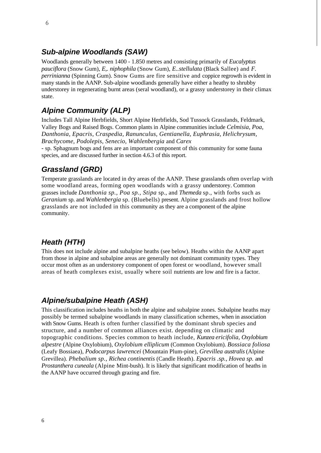#### <span id="page-11-0"></span>*Sub-alpine Woodlands (SAW)*

Woodlands generally between 1400 - 1.850 metres and consisting primarily of *Eucalyptus pauciflora* (Snow Gum), *E,. niphophila* (Snow Gum), *E..stellulata* (Black Sallee) and *F. perrinianna* (Spinning Gum). Snow Gums are fire sensitive and coppice regrowth is evident in many stands in the AANP. Sub-alpine woodlands generally have either a heathy to shrubby understorey in regenerating burnt areas (seral woodland), or a grassy understorey in their climax state.

#### <span id="page-11-1"></span>*Alpine Community (ALP)*

Includes Tall Alpine Herbfields, Short Alpine Herbfields, Sod Tussock Grasslands, Feldmark, Valley Bogs and Raised Bogs. Common plants in Alpine communities include *Celmisia, Poa, Danthonia, Epacris, Craspedia, Ranunculus, Gentianella, Euphrasia, Helichrysum, Brachycome, Podolepis, Senecio, Wahlenbergia* and *Carex* 

*-* sp. Sphagnum bogs and fens are an important component of this community for some fauna species, and are discussed further in section 4.6.3 of this report.

#### <span id="page-11-2"></span>*Grassland (GRD)*

Temperate grasslands are located in dry areas of the AANP. These grasslands often overlap with some woodland areas, forming open woodlands with a grassy understorey. Common grasses include *Danthonia sp., Poa sp., Stipa* sp., and *Themeda* sp., with forbs such as *Geranium* sp. and *Wahlenbergia* sp. (Bluebells) present. Alpine grasslands and frost hollow grasslands are not included in this community as they are a component of the alpine community.

#### <span id="page-11-3"></span>*Heath (HTH)*

This does not include alpine and subalpine heaths (see below). Heaths within the AANP apart from those in alpine and subalpine areas are generally not dominant community types. They occur most often as an understorey component of open forest or woodland, however small areas of heath complexes exist, usually where soil nutrients are low and fire is a factor.

#### <span id="page-11-4"></span>*Alpine/subalpine Heath (ASH)*

This classification includes heaths in both the alpine and subalpine zones. Subalpine heaths may possibly be termed subalpine woodlands in many classification schemes, when in association with Snow Gums. Heath is often further classified by the dominant shrub species and structure, and a number of common alliances exist. depending on climatic and topographic conditions. Species common to heath include, *Kunzea ericifolia, Oxylobium alpestre* (Alpine Oxylobium), *Oxylobium elliplicum* (Common Oxylobium). *Bossiaca foliosa*  (Leafy Bossiaea), *Podocarpus lawrencei* (Mountain Plum-pine), *Grevillea australis* (Alpine Grevillea). *Phebalium sp., Richea continentis* (Candle Heath). *Epacris .sp., Hovea sp.* and *Prostanthera cuneala* (Alpine Mint-bush). It is likely that significant modification of heaths in the AANP have occurred through grazing and fire.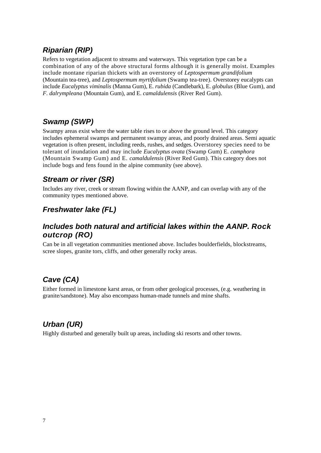### <span id="page-12-0"></span>*Riparian (RIP)*

Refers to vegetation adjacent to streams and waterways. This vegetation type can be a combination of any of the above structural forms although it is generally moist. Examples include montane riparian thickets with an overstorey of *Leptospermum grandifolium*  (Mountain tea-tree), and *Leptospermum myrtifolium* (Swamp tea-tree). Overstorey eucalypts can include *Eucalyptus viminalis* (Manna Gum), E. *rubida* (Candlebark), E. *globulus* (Blue Gum), and *F. dalrympleana* (Mountain Gum), and E. *camaldulensis* (River Red Gum).

### <span id="page-12-1"></span>*Swamp (SWP)*

Swampy areas exist where the water table rises to or above the ground level. This category includes ephemeral swamps and permanent swampy areas, and poorly drained areas. Semi aquatic vegetation is often present, including reeds, rushes, and sedges. Overstorey species need to be tolerant of inundation and may include *Eucalyptus ovata* (Swamp Gum) E. *camphora*  (Mountain Swamp Gum) and E. *camaldulensis* (River Red Gum). This category does not include bogs and fens found in the alpine community (see above).

### <span id="page-12-2"></span>*Stream or river (SR)*

Includes any river, creek or stream flowing within the AANP, and can overlap with any of the community types mentioned above.

### <span id="page-12-3"></span>*Freshwater lake (FL)*

#### <span id="page-12-4"></span>*Includes both natural and artificial lakes within the AANP. Rock outcrop (RO)*

Can be in all vegetation communities mentioned above. Includes boulderfields, blockstreams, scree slopes, granite tors, cliffs, and other generally rocky areas.

### <span id="page-12-5"></span>*Cave (CA)*

Either formed in limestone karst areas, or from other geological processes, (e.g. weathering in granite/sandstone). May also encompass human-made tunnels and mine shafts.

### <span id="page-12-6"></span>*Urban (UR)*

Highly disturbed and generally built up areas, including ski resorts and other towns.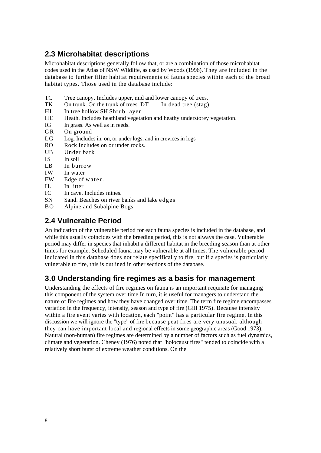### <span id="page-13-0"></span>**2.3 Microhabitat descriptions**

Microhabitat descriptions generally follow that, or are a combination of those microhabitat codes used in the Atlas of NSW Wildlife, as used by Woods (1996). They are included in the database to further filter habitat requirements of fauna species within each of the broad habitat types. Those used in the database include:

- TC Tree canopy. Includes upper, mid and lower canopy of trees.
- TK On trunk. On the trunk of trees. DT In dead tree (stag)
- HI In tree hollow SH Shrub layer
- HE Heath. Includes heathland vegetation and heathy understorey vegetation.
- IG In grass. As well as in reeds.
- GR On ground
- LG Log. Includes in, on, or under logs, and in crevices in logs
- RO Rock Includes on or under rocks.
- UB Under bark
- IS In soil
- LB In burrow
- IW In water
- EW Edge of water.
- II. In litter
- IC In cave. Includes mines.
- SN Sand. Beaches on river banks and lake edges
- BO Alpine and Subalpine Bogs

### <span id="page-13-1"></span>**2.4 Vulnerable Period**

An indication of the vulnerable period for each fauna species is included in the database, and while this usually coincides with the breeding period, this is not always the case. Vulnerable period may differ in species that inhabit a different habitat in the breeding season than at other times for example. Scheduled fauna may be vulnerable at all times. The vulnerable period indicated in this database does not relate specifically to fire, but if a species is particularly vulnerable to fire, this is outlined in other sections of the database.

### <span id="page-13-2"></span>**3.0 Understanding fire regimes as a basis for management**

Understanding the effects of fire regimes on fauna is an important requisite for managing this component of the system over time In turn, it is useful for managers to understand the nature of fire regimes and how they have changed over time. The term fire regime encompasses variation in the frequency, intensity, season and type of fire (Gill 1975). Because intensity within a fire event varies with location, each "point" has a particular fire regime. In this discussion we will ignore the "type" of fire because peat fires are very unusual, although they can have important local and regional effects in some geographic areas (Good 1973). Natural (non-human) fire regimes are determined by a number of factors such as fuel dynamics, climate and vegetation. Cheney (1976) noted that "holocaust fires" tended to coincide with a relatively short burst of extreme weather conditions. On the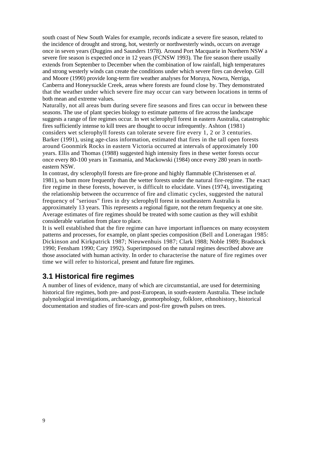south coast of New South Wales for example, records indicate a severe fire season, related to the incidence of drought and strong, hot, westerly or northwesterly winds, occurs on average once in seven years (Duggins and Saunders 1978). Around Port Macquarie in Northern NSW a severe fire season is expected once in 12 years (FCNSW 1993). The fire season there usually extends from September to December when the combination of low rainfall, high temperatures and strong westerly winds can create the conditions under which severe fires can develop. Gill and Moore (1990) provide long-term fire weather analyses for Moruya, Nowra, Nerriga, Canberra and Honeysuckle Creek, areas where forests are found close by. They demonstrated that the weather under which severe fire may occur can vary between locations in terms of both mean and extreme values.

Naturally, not all areas bum during severe fire seasons and fires can occur in between these seasons. The use of plant species biology to estimate patterns of fire across the landscape suggests a range of fire regimes occur. In wet sclerophyll forest in eastern Australia, catastrophic fires sufficiently intense to kill trees are thought to occur infrequently. Ashton (1981) considers wet sclerophyll forests can tolerate severe fire every 1, 2 or 3 centuries. Barker (1991), using age-class information, estimated that fires in the tall open forests around Goonmirk Rocks in eastern Victoria occurred at intervals of approximately 100 years. Ellis and Thomas (1988) suggested high intensity fires in these wetter forests occur once every 80-100 years in Tasmania, and Mackowski (1984) once every 280 years in northeastern NSW.

In contrast, dry sclerophyll forests are fire-prone and highly flammable (Christensen et *al.*  1981), so bum more frequently than the wetter forests under the natural fire-regime. The exact fire regime in these forests, however, is difficult to elucidate. Vines (1974), investigating the relationship between the occurrence of fire and climatic cycles, suggested the natural frequency of "serious" fires in dry sclerophyll forest in southeastern Australia is approximately 13 years. This represents a regional figure, not the return frequency at one site. Average estimates of fire regimes should be treated with some caution as they will exhibit considerable variation from place to place.

It is well established that the fire regime can have important influences on many ecosystem patterns and processes, for example, on plant species composition (Bell and Loneragan 1985: Dickinson and Kirkpatrick 1987; Nieuwenhuis 1987; Clark 1988; Noble 1989; Bradstock 1990; Fensham 1990; Cary 1992). Superimposed on the natural regimes described above are those associated with human activity. In order to characterise the nature of fire regimes over time we will refer to historical, present and future fire regimes.

#### <span id="page-14-0"></span>**3.1 Historical fire regimes**

A number of lines of evidence, many of which are circumstantial, are used for determining historical fire regimes, both pre- and post-European, in south-eastern Australia. These include palynological investigations, archaeology, geomorphology, folklore, ethnohistory, historical documentation and studies of fire-scars and post-fire growth pulses on trees.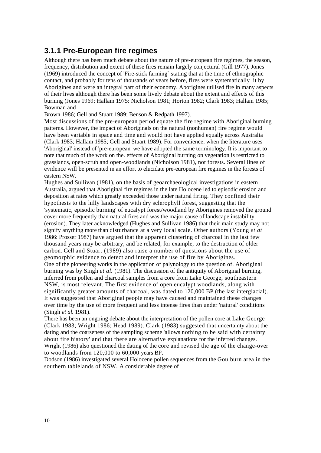#### <span id="page-15-0"></span>**3.1.1 Pre-European fire regimes**

Although there has been much debate about the nature of pre-european fire regimes, the season, frequency, distribution and extent of these fires remain largely conjectural (Gill 1977). Jones (1969) introduced the concept of 'Fire-stick farming` stating that at the time of ethnographic contact, and probably for tens of thousands of years before, fires were systematically lit by Aborigines and were an integral part of their economy. Aborigines utilised fire in many aspects of their lives although there has been some lively debate about the extent and effects of this burning (Jones 1969; Hallam 1975: Nicholson 1981; Horton 1982; Clark 1983; Hallam 1985; Bowman and

Brown 1986; Gell and Stuart 1989; Benson & Redpath 1997).

Most discussions of the pre-european period equate the fire regime with Aboriginal burning patterns. However, the impact of Aboriginals on the natural (nonhuman) fire regime would have been variable in space and time and would not have applied equally across Australia (Clark 1983; Hallam 1985; Gell and Stuart 1989). For convenience, when the literature uses 'Aboriginal' instead of 'pre-european' we have adopted the same terminology. It is important to note that much of the work on the. effects of Aboriginal burning on vegetation is restricted to grasslands, open-scrub and open-woodlands (Nicholson 1981), not forests. Several lines of evidence will be presented in an effort to elucidate pre-european fire regimes in the forests of eastern NSW.

Hughes and Sullivan (1981), on the basis of geoarchaeological investigations in eastern Australia, argued that Aboriginal fire regimes in the late Holocene led to episodic erosion and deposition at rates which greatly exceeded those under natural firing. They confined their hypothesis to the hilly landscapes with dry sclerophyll forest, suggesting that the 'systematic, episodic burning' of eucalypt forest/woodland by Aborigines removed the ground cover more frequently than natural fires and was the major cause of landscape instability (erosion). They later acknowledged (Hughes and Sullivan 1986) that their main study may not signify anything more than disturbance at a very local scale. Other authors (Young *et at*  1986: Prosser 1987) have argued that the apparent clustering of charcoal in the last few thousand years may be arbitrary, and be related, for example, to the destruction of older carbon. Gell and Stuart (1989) also raise a number of questions about the use of geomorphic evidence to detect and interpret the use of fire by Aborigines. One of the pioneering works in the application of palynology to the question of. Aboriginal burning was by Singh *et al.* (1981). The discussion of the antiquity of Aboriginal burning, inferred from pollen and charcoal samples from a core from Lake George, southeastern NSW, is most relevant. The first evidence of open eucalypt woodlands, along with significantly greater amounts of charcoal, was dated to 120,000 BP (the last interglacial). It was suggested that Aboriginal people may have caused and maintained these changes over time by the use of more frequent and less intense fires than under 'natural' conditions (Singh *et al.* 1981).

There has been an ongoing debate about the interpretation of the pollen core at Lake George (Clark 1983; Wright 1986; Head 1989). Clark (1983) suggested that uncertainty about the dating and the coarseness of the sampling scheme 'allows nothing to be said with certainty about fire history' and that there are alternative explanations for the inferred changes. Wright (1986) also questioned the dating of the core and revised the age of the change-over to woodlands from 120,000 to 60,000 years BP.

Dodson (1986) investigated several Holocene pollen sequences from the Goulburn area in the southern tablelands of NSW. A considerable degree of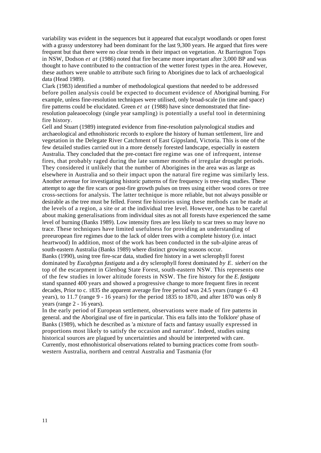variability was evident in the sequences but it appeared that eucalypt woodlands or open forest with a grassy understorey had been dominant for the last 9,300 years. He argued that fires were frequent but that there were no clear trends in their impact on vegetation. At Barrington Tops in NSW, Dodson *et at* (1986) noted that fire became more important after 3,000 BP and was thought to have contributed to the contraction of the wetter forest types in the area. However, these authors were unable to attribute such firing to Aborigines due to lack of archaeological data (Head 1989).

Clark (1983) identified a number of methodological questions that needed to be addressed before pollen analysis could be expected to document evidence of Aboriginal burning. For example, unless fine-resolution techniques were utilised, only broad-scale (in time and space) fire patterns could be elucidated. Green *et at* (1988) have since demonstrated that fineresolution paleaoecology (single year sampling) is potentially a useful tool in determining fire history.

Gell and Stuart (1989) integrated evidence from fine-resolution palynological studies and archaeological and ethnohistoric records to explore the history of human settlement, lire and vegetation in the Delegate River Catchment of East Gippsland, Victoria. This is one of the few detailed studies carried out in a more densely forested landscape, especially in eastern Australia. They concluded that the pre-contact fire regime was one of infrequent, intense fires, that probably raged during the late summer months of irregular drought periods. They considered it unlikely that the number of Aborigines in the area was as large as elsewhere in Australia and so their impact upon the natural fire regime was similarly less. Another avenue for investigating historic patterns of fire frequency is tree-ring studies. These attempt to age the fire scars or post-fire growth pulses on trees using either wood cores or tree cross-sections for analysis. The latter technique is more reliable, but not always possible or desirable as the tree must be felled. Forest fire histories using these methods can be made at the levels of a region, a site or at the individual tree level. However, one has to be careful about making generalisations from individual sites as not all forests have experienced the same level of burning (Banks 1989). Low intensity fires are less likely to scar trees so may leave no trace. These techniques have limited usefulness for providing an understanding of preeuropean fire regimes due to the lack of older trees with a complete history (i.e. intact heartwood) In addition, most of the work has been conducted in the sub-alpine areas of south-eastern Australia (Banks 1989) where distinct growing seasons occur. Banks (1990), using tree fire-scar data, studied fire history in a wet sclerophyll forest

dominated by *Eucalyptus fastigata* and a dry sclerophyll forest dominated *by E. sieberi* on the top of the escarpment in Glenbog State Forest, south-eastern NSW. This represents one of the few studies in lower altitude forests in NSW. The fire history for the *E. fastigata*  stand spanned 400 years and showed a progressive change to more frequent fires in recent decades, Prior to c. 1835 the apparent average fire free period was 24.5 years (range 6 - 43 years), to 11.7 (range 9 - 16 years) for the period 1835 to 1870, and after 1870 was only 8 years (range 2 - 16 years).

In the early period of European settlement, observations were made of fire patterns in general. and the Aboriginal use of fire in particular. This era falls into the 'folklore' phase of Banks (1989), which he described as 'a mixture of facts and fantasy usually expressed in proportions most likely to satisfy the occasion and narrator'. Indeed, studies using historical sources are plagued by uncertainties and should be interpreted with care. Currently, most ethnohistorical observations related to burning practices come from southwestern Australia, northern and central Australia and Tasmania (for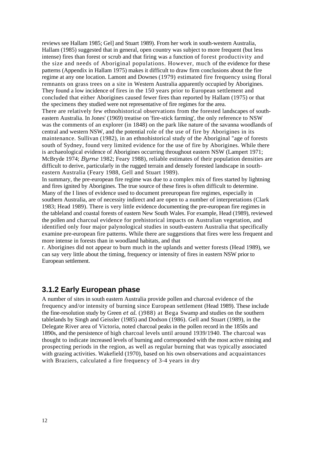reviews see Hallam 1985; Gel] and Stuart 1989). From her work in south-western Australia, Hallam (1985) suggested that in general, open country was subject to more frequent (but less intense) fires than forest or scrub and that firing was a function of forest productivity and the size and needs of Aboriginal populations. However, much of the evidence for these patterns (Appendix in Hallam 1975) makes it difficult to draw firm conclusions about the fire regime at any one location. Lamont and Downes (1979) estimated fire frequency using floral remnants on grass trees on a site in Western Australia apparently occupied by Aborigines. They found a low incidence of fires in the 150 years prior to European settlement and concluded that either Aborigines caused fewer fires than reported by Hallam (1975) or that the specimens they studied were not representative of fire regimes for the area. There are relatively few ethnohistorical observations from the forested landscapes of southeastern Australia. In Jones' (1969) treatise on 'fire-stick farming', the only reference to NSW was the comments of an explorer (in 1848) on the park like nature of the savanna woodlands of central and western NSW, and the potential role of the use of fire by Aborigines in its maintenance. Sullivan (1982), in an ethnohistorical study of the Aboriginal "age of forests south of Sydney, found very limited evidence for the use of fire by Aborigines. While there is archaeological evidence of Aborigines occurring throughout eastern NSW (Lampert 1971; McBryde 1974; *Byrne* 1982; Feary 1988), reliable estimates of their population densities are difficult to derive, particularly in the rugged terrain and densely forested landscape in southeastern Australia (Feary 1988, Gell and Stuart 1989).

In summary, the pre-european fire regime was due to a complex mix of fires started by lightning and fires ignited by Aborigines. The true source of these fires is often difficult to determine. Many of the I lines of evidence used to document preeuropean fire regimes, especially in southern Australia, are of necessity indirect and are open to a number of interpretations (Clark 1983; Head 1989). There is very little evidence documenting the pre-european fire regimes in the tableland and coastal forests of eastern New South Wales. For example, Head (1989), reviewed the pollen and charcoal evidence for prehistorical impacts on Australian vegetation, and identified only four major palynological studies in south-eastern Australia that specifically examine pre-european fire patterns. While there are suggestions that fires were less frequent and more intense in forests than in woodland habitats, and that

r. Aborigines did not appear to burn much in the uplands and wetter forests (Head 1989), we can say very little about the timing, frequency or intensity of fires in eastern NSW prior to European settlement.

#### <span id="page-17-0"></span>**3.1.2 Early European phase**

A number of sites in south eastern Australia provide pollen and charcoal evidence of the frequency and/or intensity of burning since European settlement (Head 1989). These include the fine-resolution study by Green *et al.* ()988) at Bega Swamp and studies on the southern tablelands by Singh and Geissler (1985) and Dodson (1986). Gell and Stuart (1989), in the Delegate River area of Victoria, noted charcoal peaks in the pollen record in the 1850s and 1890s, and the persistence of high charcoal levels until around 1939/1940. The charcoal was thought to indicate increased levels of burning and corresponded with the most active mining and prospecting periods in the region, as well as regular burning that was typically associated with grazing activities. Wakefield (1970), based on his own observations and acquaintances with Braziers, calculated a fire frequency of 3-4 years in dry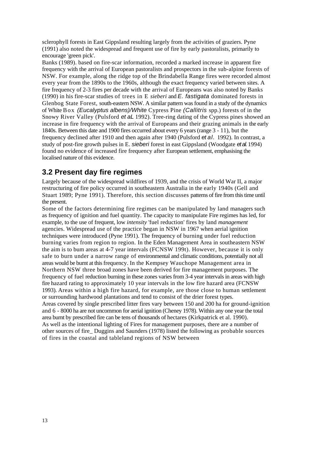sclerophyll forests in East Gippsland resulting largely from the activities of graziers. Pyne (1991) also noted the widespread and frequent use of fire by early pastoralists, primarily to encourage 'green pick'.

Banks (1989). based on fire-scar information, recorded a marked increase in apparent fire frequency with the arrival of European pastoralists and prospectors in the sub-alpine forests of NSW. For example, along the ridge top of the Brindabella Range fires were recorded almost every year from the 1890s to the 1960s, although the exact frequency varied between sites. A fire frequency of 2-3 fires per decade with the arrival of Europeans was also noted by Banks (1990) in his fire-scar studies of trees in E *sieberi* and *E. fastigata* dominated forests in Glenbog State Forest, south-eastern NSW. A similar pattern was found in a study of the dynamics of White Box *(Eucalyptus albens)/White* Cypress Pine *(Callitris* spp.) forests of in the Snowy River Valley (Pulsford *et aL* 1992). Tree-ring dating of the Cypress pines showed an increase in fire frequency with the arrival of Europeans and their grazing animals in the early 1840s. Between this date and 1900 fires occurred about every 6 years (range 3 - 11), but the frequency declined after 1910 and then again after 1940 (Pulsford *et al.* 1992). In contrast, a study of post-fire growth pulses in E. *sieberi* forest in east Gippsland (Woodgate *et al.* 1994) found no evidence of increased fire frequency after European settlement, emphasising the localised nature of this evidence.

#### <span id="page-18-0"></span>**3.2 Present day fire regimes**

Largely because of the widespread wildfires of 1939, and the crisis of World War II, a major restructuring of fire policy occurred in southeastern Australia in the early 1940s (Gell and Stuart 1989; Pyne 1991). Therefore, this section discusses patterns of fire from this time until the present.

Some of the factors determining fire regimes can be manipulated by land managers such as frequency of ignition and fuel quantity. The capacity to manipulate Fire regimes has led, for example, to the use of frequent, low *intensity* 'fuel reduction' fires by land *management*  agencies. Widespread use of the practice began in NSW in 1967 when aerial ignition techniques were introduced (Pyne 1991). The frequency of burning under fuel reduction burning varies from region to region. In the Eden Management Area in southeastern NSW the aim is to bum areas at 4-7 year intervals (FCNSW 199t). However, because it is only safe to burn under a narrow range of environmental and climatic conditions, potentially not all areas would be burnt at this frequency. In the Kempsey Wauchope Management area in Northern NSW three broad zones have been derived for fire management purposes. The frequency of fuel reduction burning in these zones varies from 3-4 year intervals in areas with high fire hazard rating to approximately 10 year intervals in the low fire hazard area (FCNSW 1993). Areas within a high fire hazard, for example, are those close to human settlement or surrounding hardwood plantations and tend to consist of the drier forest types. Areas covered by single prescribed litter fires vary between 150 and 200 ha for ground-ignition and 6 - 8000 ha are not uncommon for aerial ignition (Cheney 1978). Within any one year the total area burnt by prescribed fire can be tens of thousands of hectares (Kirkpatrick et al. 1990). As well as the intentional lighting of Fires for management purposes, there are a number of other sources of fire\_ Duggins and Saunders (1978) listed the following as probable sources of fires in the coastal and tableland regions of NSW between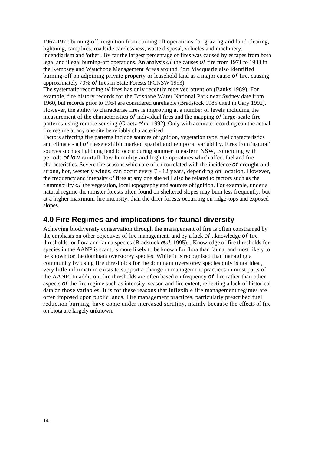1967-197;: burning-off, reignition from burning off operations for grazing and land clearing, lightning, campfires, roadside carelessness, waste disposal, vehicles and machinery, incendiarism and 'other'. By far the largest percentage of fires was caused by escapes from both legal and illegal burning-off operations. An analysis *of* the causes *of* fire from 1971 to 1988 in the Kempsey and Wauchope Management Areas around Port Macquarie also identified burning-off on adjoining private property or leasehold land as a major cause *of* fire, causing approximately 70% *of* fires in State Forests (FCNSW 1993).

The systematic recording *of* fires has only recently received attention (Banks 1989). For example, fire history records for the Brisbane Water National Park near Sydney date from 1960, but records prior to 1964 are considered unreliable (Bradstock 1985 cited in Cary 1992). However, the ability to characterise fires is improving at a number of levels including the measurement of the characteristics *of* individual fires and the mapping *of* large-scale fire patterns using remote sensing (Graetz *et al.* 1992). Only with accurate recording can the actual fire regime at any one site be reliably characterised.

Factors affecting fire patterns include sources of ignition, vegetation type, fuel characteristics and climate - all *of* these exhibit marked spatial and temporal variability. Fires from 'natural' sources such as lightning tend to occur during summer in eastern NSW, coinciding with periods *of low* rainfall, low humidity and high temperatures which affect fuel and fire characteristics. Severe fire seasons which are often correlated with the incidence *of* drought and strong, hot, westerly winds, can occur every 7 - 12 years, depending on location. However, the frequency and intensity *of* fires at any one site will also be related to factors such as the flammability *of* the vegetation, local topography and sources of ignition. For example, under a natural regime the moister forests often found on sheltered slopes may bum less frequently, but at a higher maximum fire intensity, than the drier forests occurring on ridge-tops and exposed slopes.

#### <span id="page-19-0"></span>**4.0 Fire Regimes and implications for faunal diversity**

Achieving biodiversity conservation through the management of fire is often constrained by the emphasis on other objectives of fire management, and by a lack *of* ..knowledge *of* fire thresholds for flora and fauna species (Bradstock *et al.* 1995). "Knowledge of fire thresholds for species in the AANP is scant, is more likely to be known for flora than fauna, and most likely to be known for the dominant overstorey species. While it is recognised that managing a community by using fire thresholds for the dominant overstorey species only is not ideal, very little information exists to support a change in management practices in most parts of the AANP. In addition, fire thresholds are often based on frequency *of* fire rather than other aspects *of* the fire regime such as intensity, season and fire extent, reflecting a lack of historical data on those variables. It is for these reasons that inflexible fire management regimes are often imposed upon public lands. Fire management practices, particularly prescribed fuel reduction burning, have come under increased scrutiny, mainly because the effects of fire on biota are largely unknown.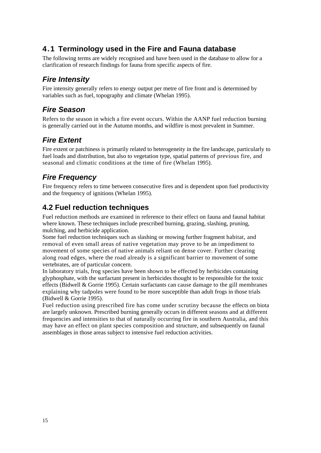### <span id="page-20-0"></span>**4.1 Terminology used in the Fire and Fauna database**

The following terms are widely recognised and have been used in the database to allow for a clarification of research findings for fauna from specific aspects of fire.

### <span id="page-20-1"></span>*Fire Intensity*

Fire intensity generally refers to energy output per metre of fire front and is determined by variables such as fuel, topography and climate (Whelan 1995).

### <span id="page-20-2"></span>*Fire Season*

Refers to the season in which a fire event occurs. Within the AANP fuel reduction burning is generally carried out in the Autumn months, and wildfire is most prevalent in Summer.

### <span id="page-20-3"></span>*Fire Extent*

Fire extent or patchiness is primarily related to heterogeneity in the fire landscape, particularly to fuel loads and distribution, but also to vegetation type, spatial patterns of previous fire, and seasonal and climatic conditions at the time of fire (Whelan 1995).

### <span id="page-20-4"></span>*Fire Frequency*

Fire frequency refers to time between consecutive fires and is dependent upon fuel productivity and the frequency of ignitions (Whelan 1995).

### <span id="page-20-5"></span>**4.2 Fuel reduction techniques**

Fuel reduction methods are examined in reference to their effect on fauna and faunal habitat where known. These techniques include prescribed burning, grazing, slashing, pruning, mulching, and herbicide application.

Some fuel reduction techniques such as slashing or mowing further fragment habitat, and removal of even small areas of native vegetation may prove to be an impediment to movement of some species of native animals reliant on dense cover. Further clearing along road edges, where the road already is a significant barrier to movement of some vertebrates, are of particular concern.

In laboratory trials, frog species have been shown to be effected by herbicides containing glyphosphate, with the surfactant present in herbicides thought to be responsible for the toxic effects (Bidwell & Gorrie 1995). Certain surfactants can cause damage to the gill membranes explaining why tadpoles were found to be more susceptible than adult frogs in those trials (Bidwell & Gorrie 1995).

Fuel reduction using prescribed fire has come under scrutiny because the effects on biota are largely unknown. Prescribed burning generally occurs in different seasons and at different frequencies and intensities to that of naturally occurring fire in southern Australia, and this may have an effect on plant species composition and structure, and subsequently on faunal assemblages in those areas subject to intensive fuel reduction activities.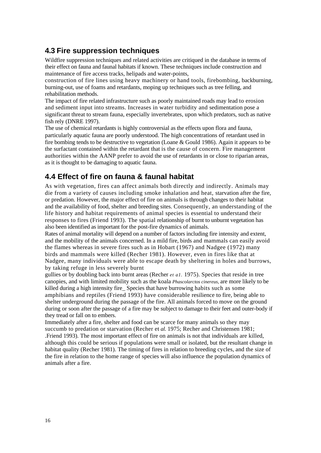#### <span id="page-21-0"></span>**4.3 Fire suppression techniques**

Wildfire suppression techniques and related activities are critiqued in the database in terms of their effect on fauna and faunal habitats if known. These techniques include construction and maintenance of fire access tracks, helipads and water-points,

construction of fire lines using heavy machinery or hand tools, firebombing, backburning, burning-out, use of foams and retardants, moping up techniques such as tree felling, and rehabilitation methods.

The impact of fire related infrastructure such as poorly maintained roads may lead to erosion and sediment input into streams. Increases in water turbidity and sedimentation pose a significant threat to stream fauna, especially invertebrates, upon which predators, such as native fish rely (DNRE 1997).

The use of chemical retardants is highly controversial as the effects upon flora and fauna, particularly aquatic fauna are poorly understood. The high concentrations of retardant used in fire bombing tends to be destructive to vegetation (Loane & Gould 1986). Again it appears to be the surfactant contained within the retardant that is the cause of concern. Fire management authorities within the AANP prefer to avoid the use of retardants in or close to riparian areas, as it is thought to be damaging to aquatic fauna.

#### <span id="page-21-1"></span>**4.4 Effect of fire on fauna & faunal habitat**

As with vegetation, fires can affect animals both directly and indirectly. Animals may die from a variety of causes including smoke inhalation and heat, starvation after the fire, or predation. However, the major effect of fire on animals is through changes to their habitat and the availability of food, shelter and breeding sites. Consequently, an understanding of the life history and habitat requirements of animal species is essential to understand their responses to fires (Friend 1993). The spatial relationship of burnt to unburnt vegetation has also been identified as important for the post-fire dynamics of animals.

Rates of animal mortality will depend on a number of factors including fire intensity and extent, and the mobility of the animals concerned. In a mild fire, birds and mammals can easily avoid the flames whereas in severe fires such as in Hobart (1967) and Nadgee (1972) many birds and mammals were killed (Recher 1981). However, even in fires like that at Nadgee, many individuals were able to escape death by sheltering in holes and burrows, by taking refuge in less severely burnt

gullies or by doubling back into burnt areas (Recher *et a1.* 1975). Species that reside in tree canopies, and with limited mobility such as the koala *Phascolarctos cinereus,* are more likely to be killed during a high intensity fire\_ Species that have burrowing habits such as some amphibians and reptiles (Friend 1993) have considerable resilience to fire, being able to shelter underground during the passage of the fire. All animals forced to move on the ground during or soon after the passage of a fire may be subject to damage to their feet and outer-body if they tread or fall on to embers.

Immediately after a fire, shelter and food can be scarce for many animals so they may succumb to predation or starvation (Recher et *al.* 1975; Recher and Christensen 1981; .Friend 1993). The most important effect of fire on animals is not that individuals are killed, although this could be serious if populations were small or isolated, but the resultant change in habitat quality (Recher 1981). The timing of fires in relation to breeding cycles, and the size of the fire in relation to the home range of species will also influence the population dynamics of animals after a fire.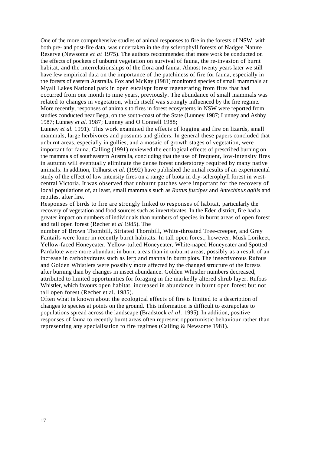One of the more comprehensive studies of animal responses to fire in the forests of NSW, with both pre- and post-fire data, was undertaken in the dry sclerophyll forests of Nadgee Nature Reserve (Newsome *et at* 1975). The authors recommended that more work be conducted on the effects of pockets of unburnt vegetation on survival of fauna, the re-invasion of burnt habitat, and the interrelationships of the flora and fauna. Almost twenty years later we still have few empirical data on the importance of the patchiness of fire for fauna, especially in the forests of eastern Australia. Fox and McKay (1981) monitored species of small mammals at Myall Lakes National park in open eucalypt forest regenerating from fires that had occurred from one month to nine years, previously. The abundance of small mammals was related to changes in vegetation, which itself was strongly influenced by the fire regime. More recently, responses of animals to fires in forest ecosystems in NSW were reported from studies conducted near Bega, on the south-coast of the State (Lunney 1987; Lunney and Ashby 1987; Lunney *et al.* 1987; Lunney and O'Connell 1988;

Lunney *et al.* 1991). This work examined the effects of logging and fire on lizards, small mammals, large herbivores and possums and gliders. In general these papers concluded that unburnt areas, especially in gullies, and a mosaic of growth stages of vegetation, were important for fauna. Calling (1991) reviewed the ecological effects of prescribed burning on the mammals of southeastern Australia, concluding that the use of frequent, low-intensity fires in autumn will eventually eliminate the dense forest understorey required by many native animals. In addition, Tolhurst *et al.* (1992) have published the initial results of an experimental study of the effect of low intensity fires on a range of biota in dry-sclerophyll forest in westcentral Victoria. It was observed that unburnt patches were important for the recovery of local populations of, at least, small mammals such as *Rattus fuscipes* and *Antechinus agilis* and reptiles, after fire.

Responses of birds to fire are strongly linked to responses of habitat, particularly the recovery of vegetation and food sources such as invertebrates. In the Eden district, fire had a greater impact on numbers of individuals than numbers of species in burnt areas of open forest and tall open forest (Recher et *al* 1985). The

number of Brown Thombill, Striated Thornbill, White-throated Tree-creeper, and Grey Fantails were loner in recently burnt habitats. In tall open forest, however, Musk Lorikeet, Yellow-faced Honeyeater, Yellow-tufted Honeyeater, White-naped Honeyeater and Spotted Pardalote were more abundant in burnt areas than in unburnt areas, possibly as a result of an increase in carbohydrates such as lerp and manna in burnt plots. The insectivorous Rufous and Golden Whistlers were possibly more affected by the changed structure of the forests after burning than by changes in insect abundance. Golden Whistler numbers decreased, attributed to limited opportunities for foraging in the markedly altered shrub layer. Rufous Whistler, which favours open habitat, increased in abundance in burnt open forest but not tall open forest (Recher et al. 1985).

Often what is known about the ecological effects of fire is limited to a description of changes to species at points on the ground. This information is difficult to extrapolate to populations spread across the landscape (Bradstock *el al.* 1995). In addition, positive responses of fauna to recently burnt areas often represent opportunistic behaviour rather than representing any specialisation to fire regimes (Calling & Newsome 1981).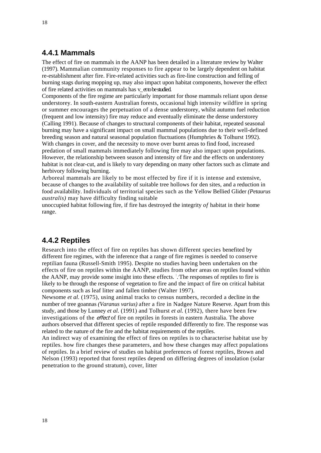#### <span id="page-23-0"></span>**4.4.1 Mammals**

The effect of fire on mammals in the AANP has been detailed in a literature review by Walter (1997). Mammalian community responses to fire appear to be largely dependent on habitat re-establishment after fire. Fire-related activities such as fire-line construction and felling of burning stags during mopping up, may also impact upon habitat components, however the effect of fire related activities on mammals has v\_ et to be studied.

Components of the fire regime are particularly important for those mammals reliant upon dense understorey. In south-eastern Australian forests, occasional high intensity wildfire in spring or summer encourages the perpetuation of a dense understorey, whilst autumn fuel reduction (frequent and low intensity) fire may reduce and eventually eliminate the dense understorey (Calling 1991). Because of changes to structural components of their habitat, repeated seasonal burning may have a significant impact on small mammal populations due to their well-defined breeding season and natural seasonal population fluctuations (Humphries & Tolhurst 1992). With changes in cover, and the necessity to move over burnt areas to find food, increased predation of small mammals immediately following fire may also impact upon populations. However, the relationship between season and intensity of fire and the effects on understorey habitat is not clear-cut, and is likely to vary depending on many other factors such as climate and herbivory following burning.

Arboreal mammals are likely to be most effected by fire if it is intense and extensive, because of changes to the availability of suitable tree hollows for den sites, and a reduction in food availability. Individuals of territorial species such as the Yellow Bellied Glider *(Petaurus australis)* may have difficulty finding suitable

unoccupied habitat following fire, if fire has destroyed the integrity *of* habitat in their home range.

#### <span id="page-23-1"></span>**4.4.2 Reptiles**

Research into the effect of fire on reptiles has shown different species benefited by different fire regimes, with the inference that a range of fire regimes is needed to conserve reptilian fauna (Russell-Smith 1995). Despite no studies having been undertaken on the effects of fire on reptiles within the AANP, studies from other areas on reptiles found within the AANP, may provide some insight into these effects. The responses of reptiles to fire is likely to be through the response of vegetation to fire and the impact of fire on critical habitat components such as leaf litter and fallen timber (Walter 1997).

Newsome *et al.* (1975), using animal tracks to census numbers, recorded a decline in the number of tree goannas *(Varanus varius)* after a fire in Nadgee Nature Reserve. Apart from this study, and those by Lunney *et al.* (1991) and Tolhurst *et al.* (1992), there have been few investigations of the effect of fire on reptiles in forests in eastern Australia. The above authors observed that different species of reptile responded differently to fire. The response was related to the nature of the fire and the habitat requirements of the reptiles.

An indirect way of examining the effect of fires on reptiles is to characterise habitat use by reptiles. how fire changes these parameters, and how these changes may affect populations of reptiles. In a brief review of studies on habitat preferences of forest reptiles, Brown and Nelson (1993) reported that forest reptiles depend on differing degrees of insolation (solar penetration to the ground stratum), cover, litter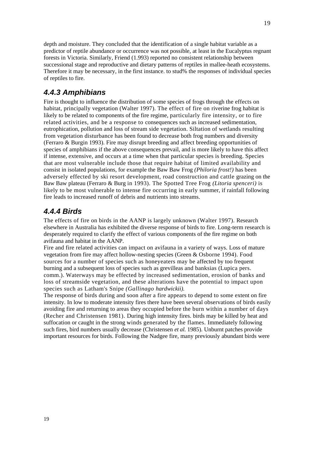depth and moisture. They concluded that the identification of a single habitat variable as a predictor of reptile abundance or occurrence was not possible, at least in the Eucalyptus regnant forests in Victoria. Similarly, Friend (1.993) reported no consistent relationship between successional stage and reproductive and dietary patterns of reptiles in mallee-heath ecosystems. Therefore it may be necessary, in the first [instance. to](http://instance.to/) stud% the responses of individual species of reptiles to fire.

### <span id="page-24-0"></span>*4.4.3 Amphibians*

Fire is thought to influence the distribution of some species of frogs through the effects on habitat, principally vegetation (Walter 1997). The effect of fire on riverine frog habitat is likely to be related to components of the fire regime, particularly fire intensity, or to fire related activities, and be a response to consequences such as increased sedimentation, eutrophication, pollution and loss of stream side vegetation. Siltation of wetlands resulting from vegetation disturbance has been found to decrease both frog numbers and diversity (Ferraro & Burgin 1993). Fire may disrupt breeding and affect breeding opportunities of species of amphibians if the above consequences prevail, and is more likely to have this affect if intense, extensive, and occurs at a time when that particular species is breeding. Species that are most vulnerable include those that require habitat of limited availability and consist in isolated populations, for example the Baw Baw Frog *(Philoria frost!)* has been adversely effected by ski resort development, road construction and cattle grazing on the Baw Baw plateau (Ferraro & Burg in 1993). The Spotted Tree Frog *(Litoria spenceri)* is likely to be most vulnerable to intense fire occurring in early summer, if rainfall following fire leads to increased runoff of debris and nutrients into streams.

### <span id="page-24-1"></span>*4.4.4 Birds*

The effects of fire on birds in the AANP is largely unknown (Walter 1997). Research elsewhere in Australia has exhibited the diverse response of birds to fire. Long-term research is desperately required to clarify the effect of various components of the fire regime on both avifauna and habitat in the AANP.

Fire and fire related activities can impact on avifauna in a variety of ways. Loss of mature vegetation from fire may affect hollow-nesting species (Green & Osborne 1994). Food sources for a number of species such as honeyeaters may be affected by too frequent burning and a subsequent loss of species such as grevilleas and banksias (Lupica pers. comm.). Waterways may be effected by increased sedimentation, erosion of banks and loss of streamside vegetation, and these alterations have the potential to impact upon species such as Latham's Snipe *(Gallinago hardwickii).* 

The response of birds during and soon after a fire appears to depend to some extent on fire intensity. In low to moderate intensity fires there have been several observations of birds easily avoiding fire and returning to areas they occupied before the burn within a number of days (Recher and Christensen 1981). During high intensity fires. birds may be killed by heat and suffocation or caught in the strong winds generated by the flames. Immediately following such fires, bird numbers usually decrease (Christensen *et al.* 1985). Unburnt patches provide important resources for birds. Following the Nadgee fire, many previously abundant birds were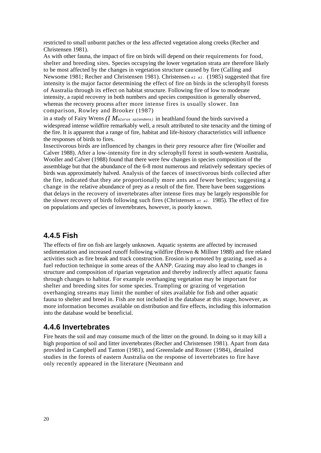restricted to small unburnt patches or the less affected vegetation along creeks (Recher and Christensen 1981).

As with other fauna, the impact of fire on birds will depend on their requirements for food, shelter and breeding sites. Species occupying the lower vegetation strata are therefore likely to be most affected by the changes in vegetation structure caused by fire (Calling and Newsome 1981; Recher and Christensen 1981). Christensen *el al.* (1985) suggested that fire intensity is the major factor determining the effect of fire on birds in the sclerophyll forests of Australia through its effect on habitat structure. Following fire of low to moderate intensity, a rapid recovery in both numbers and species composition is generally observed, whereas the recovery process after more intense fires is usually slower. Inn comparison, Rowley and Brooker (1987)

in a study of Fairy Wrens *(I Malurus splendens)* in heathland found the birds survived a widespread intense wildfire remarkably well, a result attributed to site tenacity and the timing of the fire. It is apparent that a range of fire, habitat and life-history characteristics will influence the responses of birds to fires.

Insectivorous birds are influenced by changes in their prey resource after fire (Wooller and Calver 1988). After a low-intensity fire in dry sclerophyll forest in south-western Australia, Wooller and Calver (1988) found that there were few changes in species composition of the assemblage but that the abundance of the 6-8 most numerous and relatively sedentary species of birds was approximately halved. Analysis of the faeces of insectivorous birds collected after the fire, indicated that they ate proportionally more ants and fewer beetles; suggesting a change in the relative abundance of prey as a result of the fire. There have been suggestions that delays in the recovery of invertebrates after intense fires may be largely responsible for the slower recovery of birds following such fires (Christensen *et al.* 1985). The effect of fire on populations and species of invertebrates, however, is poorly known.

#### <span id="page-25-0"></span>**4.4.5 Fish**

The effects of fire on fish are largely unknown. Aquatic systems are affected by increased sedimentation and increased runoff following wildfire (Brown & Millner 1988) and fire related activities such as fire break and track construction. Erosion is promoted by grazing, used as a fuel reduction technique in some areas of the AANP. Grazing may also lead to changes in structure and composition of riparian vegetation and thereby indirectly affect aquatic fauna through changes to habitat. For example overhanging vegetation may be important for shelter and breeding sites for some species. Trampling or grazing of vegetation overhanging streams may limit the number of sites available for fish and other aquatic fauna to shelter and breed in. Fish are not included in the database at this stage, however, as more information becomes available on distribution and fire effects, including this information into the database would be beneficial.

#### <span id="page-25-1"></span>**4.4.6 Invertebrates**

Fire heats the soil and may consume much of the litter on the ground. In doing so it may kill a high proportion of soil and litter invertebrates (Recher and Christensen 1981). Apart from data provided in Campbell and Tanton (1981), and Greenslade and Rosser (1984), detailed studies in the forests of eastern Australia on the response of invertebrates to fire have only recently appeared in the literature (Neumann and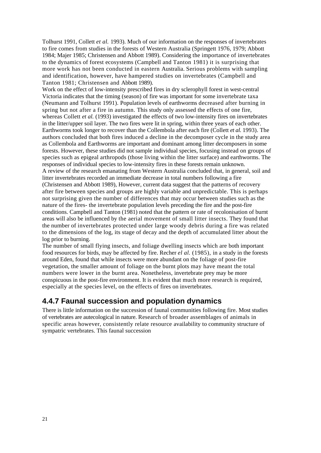Tolhurst 1991, Collett *et al.* 1993). Much of our information on the responses of invertebrates to fire comes from studies in the forests of Western Australia (Springett 1976, 1979; Abbott 1984; Majer 1985; Christensen and Abbott 1989). Considering the importance of invertebrates to the dynamics of forest ecosystems (Campbell and Tanton 1981) it is surprising that more work has not been conducted in eastern Australia. Serious problems with sampling and identification, however, have hampered studies on invertebrates (Campbell and Tanton 1981; Christensen and Abbott 1989).

Work on the effect of low-intensity prescribed fires in dry sclerophyll forest in west-central Victoria indicates that the timing (season) of fire was important for some invertebrate taxa (Neumann and Tolhurst 1991). Population levels of earthworms decreased after burning in spring but not after a fire in autumn. This study only assessed the effects of one fire, whereas Collett *et al.* (1993) investigated the effects of two low-intensity fires on invertebrates in the litter/upper soil layer. The two fires were lit in spring, within three years of each other. Earthworms took longer to recover than the Collembola after each fire (Collett *et al.* 1993). The authors concluded that both fires induced a decline in the decomposer cycle in the study area as Collembola and Earthworms are important and dominant among litter decomposers in some forests. However, these studies did not sample individual species, focusing instead on groups of species such as epigeal arthropods (those living within the litter surface) and earthworms. The responses of individual species to low-intensity fires in these forests remain unknown. A review of the research emanating from Western Australia concluded that, in general, soil and litter invertebrates recorded an immediate decrease in total numbers following a fire (Christensen and Abbott 1989), However, current data suggest that the patterns of recovery after fire between species and groups are highly variable and unpredictable. This is perhaps not surprising given the number of differences that may occur between studies such as the nature of the fires- the invertebrate population levels preceding the fire and the post-fire conditions. Campbell and Tanton (1981) noted that the pattern or rate of recolonisation of burnt areas will also be influenced by the aerial movement of small litter insects. They found that the number of invertebrates protected under large woody debris during a fire was related to the dimensions of the log, its stage of decay and the depth of accumulated litter about the log prior to burning.

The number of small flying insects, and foliage dwelling insects which are both important food resources for birds, may be affected by fire. Recher *el al.* (1985), in a study in the forests around Eden, found that while insects were more abundant on the foliage of post-fire vegetation, the smaller amount of foliage on the burnt plots may have meant the total numbers were lower in the burnt area. Nonetheless, invertebrate prey may be more conspicuous in the post-fire environment. It is evident that much more research is required, especially at the species level, on the effects of fires on invertebrates.

#### <span id="page-26-0"></span>**4.4.7 Faunal succession and population dynamics**

There is little information on the succession of faunal communities following fire. Most studies of vertebrates are autecological in nature. Research of broader assemblages of animals in specific areas however, consistently relate resource availability to community structure of sympatric vertebrates. This faunal succession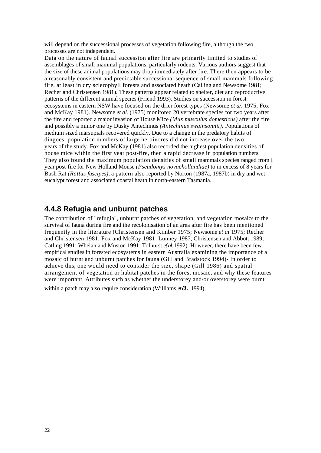will depend on the successional processes of vegetation following fire, although the two processes are not independent.

Data on the nature of faunal succession after fire are primarily limited to studies of assemblages of small mammal populations, particularly rodents. Various authors suggest that the size of these animal populations may drop immediately after fire. There then appears to be a reasonably consistent and predictable successional sequence of small mammals following fire, at least in dry sclerophyll forests and associated heath (Calling and Newsome 1981; Recher and Christensen 1981). These patterns appear related to shelter, diet and reproductive patterns of the different animal species (Friend 1993). Studies on succession in forest ecosystems in eastern NSW have focused on the drier forest types (Newsome *et a/.* 1975; Fox and McKay 1981). Newsome *et al.* (1975) monitored 20 vertebrate species for two years after the fire and reported a major invasion of House Mice *(Mus musculus domesticus)* after the fire and possibly a minor one by Dusky Antechinus *(Antechinus swainsonnii).* Populations of medium sized marsupials recovered quickly. Due to a change in the predatory habits of dingoes, population numbers of large herbivores did not increase over the two years of the study. Fox and McKay (1981) also recorded the highest population densities of house mice within the first year post-fire, then a rapid decrease in population numbers. They also found the maximum population densities of small mammals species ranged from I year post-fire for New Holland Mouse *(Pseudomys novaehollandiae)* to in excess of 8 years for Bush Rat *(Rattus fuscipes),* a pattern also reported by Norton (1987a, 1987b) in dry and wet eucalypt forest and associated coastal heath in north-eastern Tasmania.

#### <span id="page-27-0"></span>**4.4.8 Refugia and unburnt patches**

The contribution of "refugia", unburnt patches of vegetation, and vegetation mosaics to the survival of fauna during fire and the recolonisation of an area after fire has been mentioned frequently in the literature (Christensen and Kimber 1975; Newsome *et at* 1975; Recher and Christensen 1981; Fox and McKay 1981; Lunney 1987; Christensen and Abbott 1989; Catling 1991; Whelan and Muston 1991; Tolhurst *e( al.* 1992). However, there have been few empirical studies in forested ecosystems in eastern Australia examining the importance of a mosaic of burnt and unburnt patches for fauna (Gill and Bradstock 1994)- In order to achieve this, one would need to consider the size, shape (Gill 1986) and spatial arrangement of vegetation or habitat patches in the forest mosaic, and why these features were important. Attributes such as whether the understorey and/or overstorey were burnt within a patch may also require consideration (Williams *et a.* 1994),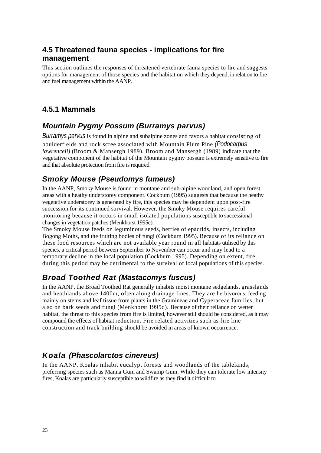### <span id="page-28-0"></span>**4.5 Threatened fauna species - implications for fire management**

This section outlines the responses of threatened vertebrate fauna species to fire and suggests options for management of those species and the habitat on which they depend, in relation to fire and fuel management within the AANP.

### <span id="page-28-1"></span>**4.5.1 Mammals**

### <span id="page-28-2"></span>*Mountain Pygmy Possum (Burramys parvus)*

*Burramys parvus* is found in alpine and subalpine zones and favors a habitat consisting of boulderfields and rock scree associated with Mountain Plum Pine *(Podocarpus lawrenceii)* (Broom & Mansergh 1989). Broom and Mansergh (1989) indicate that the vegetative component of the habitat of the Mountain pygmy possum is extremely sensitive to fire and that absolute protection from fire is required.

### <span id="page-28-3"></span>*Smoky Mouse (Pseudomys fumeus)*

In the AANP, Smoky Mouse is found in montane and sub-alpine woodland, and open forest areas with a heathy understorey component. Cockbum (1995) suggests that because the heathy vegetative understorey is generated by fire, this species may be dependent upon post-fire succession for its continued survival. However, the Smoky Mouse requires careful monitoring because it occurs in small isolated populations susceptible to successional changes in vegetation patches (Menkhorst 1995c).

The Smoky Mouse feeds on leguminous seeds, berries of epacrids, insects, including Bogong Moths, and the fruiting bodies of fungi (Cockburn 1995). Because of its reliance on these food resources which are not available year round in all habitats utilised by this species, a critical period between September to November can occur and may lead to a temporary decline in the local population (Cockburn 1995). Depending on extent, fire during this period may be detrimental to the survival of local populations of this species.

### <span id="page-28-4"></span>*Broad Toothed Rat (Mastacomys fuscus)*

In the AANP, the Broad Toothed Rat generally inhabits moist montane sedgelands, grasslands and heathlands above 1400m, often along drainage lines. They are herbivorous, feeding mainly on stems and leaf tissue from plants in the Gramineae and Cyperaceae families, but also on bark seeds and fungi (Menkhorst 1995d). Because of their reliance on wetter habitat, the threat to this species from fire is limited, however still should be considered, as it may compound the effects of habitat reduction. Fire related activities such as fire line construction and track building should be avoided in areas of known occurrence.

### <span id="page-28-5"></span>*Koala (Phascolarctos cinereus)*

In the AANP, Koalas inhabit eucalypt forests and woodlands of the tablelands, preferring species such as Manna Gum and Swamp Gum. While they can tolerate low intensity fires, Koalas are particularly susceptible to wildfire as they find it difficult to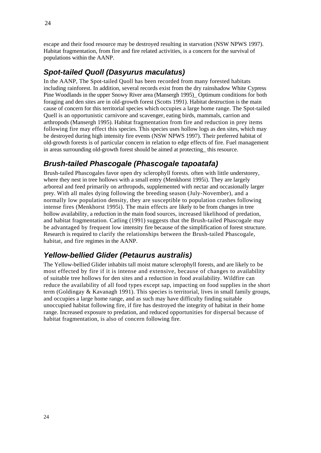escape and their food resource may be destroyed resulting in starvation (NSW NPWS 1997). Habitat fragmentation, from fire and fire related activities, is a concern for the survival of populations within the AANP.

### <span id="page-29-0"></span>*Spot-tailed Quoll (Dasyurus maculatus)*

In the AANP, The Spot-tailed Quoll has been recorded from many forested habitats including rainforest. In addition, several records exist from the dry rainshadow White Cypress Pine Woodlands in the upper Snowy River area (Mansergh 1995)\_ Optimum conditions for both foraging and den sites are in old-growth forest (Scotts 1991). Habitat destruction is the main cause of concern for this territorial species which occupies a large home range. The Spot-tailed Quell is an opportunistic carnivore and scavenger, eating birds, mammals, carrion and arthropods (Mansergh 1995). Habitat fragmentation from fire and reduction in prey items following fire may effect this species. This species uses hollow logs as den sites, which may be destroyed during high intensity fire events (NSW NPWS 1997). Their preferred habitat of old-growth forests is of particular concern in relation to edge effects of fire. Fuel management in areas surrounding old-growth forest should be aimed at protecting\_ this resource.

### <span id="page-29-1"></span>*Brush-tailed Phascogale (Phascogale tapoatafa)*

Brush-tailed Phascogales favor open dry sclerophyll forests. often with little understorey, where they nest in tree hollows with a small entry (Menkhorst 1995i). They are largely arboreal and feed primarily on arthropods, supplemented with nectar and occasionally larger prey. With all males dying following the breeding season (July-November), and a normally low population density, they are susceptible to population crashes following intense fires (Menkhorst 1995i). The main effects are likely to be from changes in tree hollow availability, a reduction in the main food sources, increased likelihood of predation, and habitat fragmentation. Catling (1991) suggests that the Brush-tailed Phascogale may be advantaged by frequent low intensity fire because of the simplification of forest structure. Research is required to clarify the relationships between the Brush-tailed Phascogale, habitat, and fire regimes in the AANP.

### <span id="page-29-2"></span>*Yellow-bellied Glider (Petaurus australis)*

The Yellow-bellied Glider inhabits tall moist mature sclerophyll forests, and are likely to be most effected by fire if it is intense and extensive, because of changes to availability of suitable tree hollows for den sites and a reduction in food availability. Wildfire can reduce the availability of all food types except sap, impacting on food supplies in the short term (Goldingay & Kavanagh 1991). This species is territorial, lives in small family groups, and occupies a large home range, and as such may have difficulty finding suitable unoccupied habitat following fire, if fire has destroyed the integrity of habitat in their home range. Increased exposure to predation, and reduced opportunities for dispersal because of habitat fragmentation, is also of concern following fire.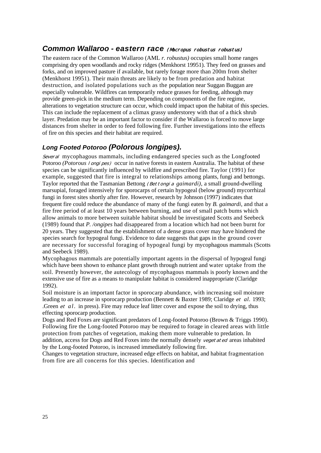#### <span id="page-30-0"></span>**Common Wallaroo - eastern race (Macropus robustus robustus)**

The eastern race of the Common Wallaroo (AML *r. robustus)* occupies small home ranges comprising dry open woodlands and rocky ridges (Menkhorst 19951). They feed on grasses and forks, and on improved pasture if available, but rarely forage more than 200m from shelter (Menkhorst 19951). Their main threats are likely to be from predation and habitat destruction, and isolated populations such as the population near Suggan Buggan are especially vulnerable. Wildfires can temporarily reduce grasses for feeding, although may provide green-pick in the medium term. Depending on components of the fire regime, alterations to vegetation structure can occur, which could impact upon the habitat of this species. This can include the replacement of a climax grassy understorey with that of a thick shrub layer. Predation may be an important factor to consider if the Wallaroo is forced to move large distances from shelter in order to feed following fire. Further investigations into the effects of fire on this species and their habitat are required.

#### <span id="page-30-1"></span>*Long Footed Potoroo (Polorous longipes).*

Several mycophagous mammals, including endangered species such as the Longfooted Potoroo *(Potorous I ongi pes)* occur in native forests in eastern Australia. The habitat of these species can be significantly influenced by wildfire and prescribed fire. Taylor (1991) for example, suggested that fire is integral to relationships among plants, fungi and bettongs. Taylor reported that the Tasmanian Bettong (Bettongia *gaimardi),* a small ground-dwelling marsupial, foraged intensively for sporocarps of certain hypogeal (below ground) mycorrhizal fungi in forest sites shortly after fire. However, research by Johnson (1997) indicates that frequent fire could reduce the abundance of many of the fungi eaten by *B. gaimardi,* and that a fire free period of at least 10 years between burning, and use of small patch bums which allow animals to more between suitable habitat should be investigated Scotts and Seebeck (1989) found that *P. /ongipes* had disappeared from a location which had not been burnt for 20 years. They suggested that the establishment of a dense grass cover may have hindered the species search for hypogeal fungi. Evidence to date suggests that gaps in the ground cover are necessary for successful foraging of hypogeal fungi by mycophagous mammals (Scotts and Seebeck 1989).

Mycophagous mammals are potentially important agents in the dispersal of hypogeal fungi which have been shown to enhance plant growth through nutrient and water uptake from the soil. Presently however, the autecology of mycophagous mammals is poorly known and the extensive use of fire as a means to manipulate habitat is considered inappropriate (Claridge 1992).

Soil moisture is an important factor in sporocarp abundance, with increasing soil moisture leading to an increase in sporocarp production (Bennett & Baxter 1989; Claridge et *al.* 1993; Green *et al.* in press). Fire may reduce leaf litter cover and expose the soil to drying, thus effecting sporocarp production.

Dogs and Red Foxes are significant predators of Long-footed Potoroo (Brown & Triggs 1990). Following fire the Long-footed Potoroo may be required to forage in cleared areas with little protection from patches of vegetation, making them more vulnerable to predation. In addition, access for Dogs and Red Foxes into the normally densely vegetated areas inhabited by the Long-footed Potoroo, is increased immediately following fire.

Changes to vegetation structure, increased edge effects on habitat, and habitat fragmentation from fire are all concerns for this species. Identification and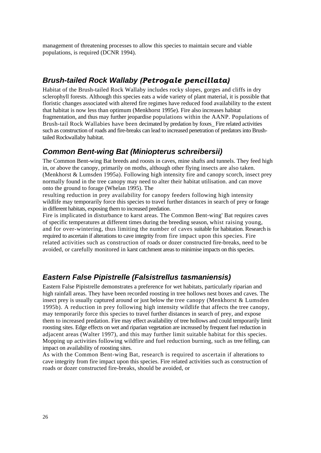management of threatening processes to allow this species to maintain secure and viable populations, is required (DCNR 1994).

#### <span id="page-31-0"></span>*Brush-tailed Rock Wallaby (Petrogale pencillata)*

Habitat of the Brush-tailed Rock Wallaby includes rocky slopes, gorges and cliffs in dry sclerophyll forests. Although this species eats a wide variety of plant material, it is possible that floristic changes associated with altered fire regimes have reduced food availability to the extent that habitat is now less than optimum (Menkhorst 1995e). Fire also increases habitat fragmentation, and thus may further jeopardise populations within the AANP. Populations of Brush-tail Rock Wallabies have been decimated by predation by foxes\_ Fire related activities such as construction of roads and fire-breaks can lead to increased penetration of predators into Brushtailed Rockwallaby habitat.

#### <span id="page-31-1"></span>*Common Bent-wing Bat (Miniopterus schreibersii)*

The Common Bent-wing Bat breeds and roosts in caves, mine shafts and tunnels. They feed high in, or above the canopy, primarily on moths, although other flying insects are also taken. (Menkhorst & Lumsden 1995a). Following high intensity fire and canopy scorch, insect prey normally found in the tree canopy may need to alter their habitat utilisation. and can move onto the ground to forage (Whelan 1995). The

resulting reduction in prey availability for canopy feeders following high intensity wildlife may temporarily force this species to travel further distances in search of prey or forage in different habitats, exposing them to increased predation.

Fire is implicated in disturbance to karst areas. The Common Bent-wing' Bat requires caves of specific temperatures at different times during the breeding season, whist raising young, and for over-wintering, thus limiting the number of caves suitable for habitation. Research is required to ascertain if alterations to cave integrity from fire impact upon this species. Fire related activities such as construction of roads or dozer constructed fire-breaks, need to be avoided, or carefully monitored in karst catchment areas to minimise impacts on this species.

#### <span id="page-31-2"></span>*Eastern False Pipistrelle (Falsistrellus tasmaniensis)*

Eastern False Pipistrelle demonstrates a preference for wet habitats, particularly riparian and high rainfall areas. They have been recorded roosting in tree hollows nest boxes and caves. The insect prey is usually captured around or just below the tree canopy (Menkhorst  $\&$  Lumsden 1995b). A reduction in prey following high intensity wildlife that affects the tree canopy, may temporarily force this species to travel further distances in search of prey, and expose them to increased predation. Fire may effect availability of tree hollows and could temporarily limit roosting sites. Edge effects on wet and riparian vegetation are increased by frequent fuel reduction in adjacent areas (Walter 1997), and this may further limit suitable habitat for this species. Mopping up activities following wildfire and fuel reduction burning, such as tree felling, can impact on availability of roosting sites.

As with the Common Bent-wing Bat, research is required to ascertain if alterations to cave integrity from fire impact upon this species. Fire related activities such as construction of roads or dozer constructed fire-breaks, should be avoided, or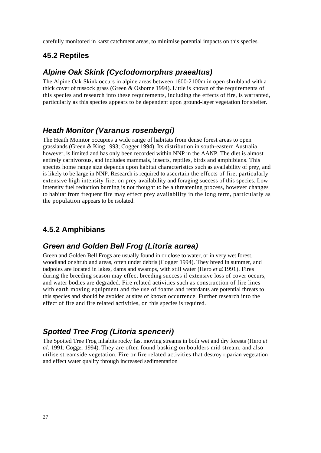carefully monitored in karst catchment areas, to minimise potential impacts on this species.

#### <span id="page-32-0"></span>**45.2 Reptiles**

#### <span id="page-32-1"></span>*Alpine Oak Skink (Cyclodomorphus praealtus)*

The Alpine Oak Skink occurs in alpine areas between 1600-2100m in open shrubland with a thick cover of tussock grass (Green & Osborne 1994). Little is known of the requirements of this species and research into these requirements, including the effects of fire, is warranted, particularly as this species appears to be dependent upon ground-layer vegetation for shelter.

#### <span id="page-32-2"></span>*Heath Monitor (Varanus rosenbergi)*

The Heath Monitor occupies a wide range of habitats from dense forest areas to open grasslands (Green & King 1993; Cogger 1994). Its distribution in south-eastern Australia however, is limited and has only been recorded within NNP in the AANP. The diet is almost entirely carnivorous, and includes mammals, insects, reptiles, birds and amphibians. This species home range size depends upon habitat characteristics such as availability of prey, and is likely to be large in NNP. Research is required to ascertain the effects of fire, particularly extensive high intensity fire, on prey availability and foraging success of this species. Low intensity fuel reduction burning is not thought to be a threatening process, however changes to habitat from frequent fire may effect prey availability in the long term, particularly as the population appears to be isolated.

### <span id="page-32-3"></span>**4.5.2 Amphibians**

#### <span id="page-32-4"></span>*Green and Golden Bell Frog (Litoria aurea)*

Green and Golden Bell Frogs are usually found in or close to water, or in very wet forest, woodland or shrubland areas, often under debris (Cogger 1994). They breed in summer, and tadpoles are located in lakes, dams and swamps, with still water (Hero *et al.* 1991). Fires during the breeding season may effect breeding success if extensive loss of cover occurs, and water bodies are degraded. Fire related activities such as construction of fire lines with earth moving equipment and the use of foams and retardants are potential threats to this species and should be avoided at sites of known occurrence. Further research into the effect of fire and fire related activities, on this species is required.

#### <span id="page-32-5"></span>*Spotted Tree Frog (Litoria spenceri)*

The Spotted Tree Frog inhabits rocky fast moving streams in both wet and dry forests (Hero *et al.* 1991; Cogger 1994). They are often found basking on boulders mid stream, and also utilise streamside vegetation. Fire or fire related activities that destroy riparian vegetation and effect water quality through increased sedimentation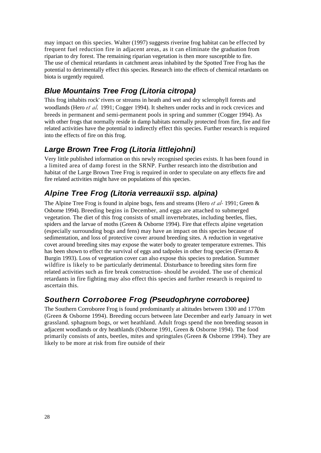may impact on this species. Walter (1997) suggests riverine frog habitat can be effected by frequent fuel reduction fire in adjacent areas, as it can eliminate the graduation from riparian to dry forest. The remaining riparian vegetation is then more susceptible to fire. The use of chemical retardants in catchment areas inhabited by the Spotted Tree Frog has the potential to detrimentally effect this species. Research into the effects of chemical retardants on biota is urgently required.

### <span id="page-33-0"></span>*Blue Mountains Tree Frog (Litoria citropa)*

This frog inhabits rock' rivers or streams in heath and wet and dry sclerophyll forests and woodlands (Hero *et al.* 1991; Cogger 1994). It shelters under rocks and in rock crevices and breeds in permanent and semi-permanent pools in spring and summer (Cogger 1994). As with other frogs that normally reside in damp habitats normally protected from fire, fire and fire related activities have the potential to indirectly effect this species. Further research is required into the effects of fire on this frog.

### <span id="page-33-1"></span>*Large Brown Tree Frog (Litoria littlejohni)*

Very little published information on this newly recognised species exists. It has been found in a limited area of damp forest in the SRNP. Further research into the distribution and habitat of the Large Brown Tree Frog is required in order to speculate on any effects fire and fire related activities might have on populations of this species.

### <span id="page-33-2"></span>*Alpine Tree Frog (Litoria verreauxii ssp. alpina)*

The Alpine Tree Frog is found in alpine bogs, fens and streams (Hero *et al-* 1991; Green & Osborne 1994). Breeding begins in December, and eggs are attached to submerged vegetation. The diet of this frog consists of small invertebrates, including beetles, flies, spiders and the larvae of moths (Green & Osborne 1994). Fire that effects alpine vegetation (especially surrounding bogs and fens) may have an impact on this species because of sedimentation, and loss of protective cover around breeding sites. A reduction in vegetative covet around breeding sites may expose the water body to greater temperature extremes. This has been shown to effect the survival of eggs and tadpoles in other frog species (Ferraro & Burgin 1993). Loss of vegetation cover can also expose this species to predation. Summer wildfire is likely to be particularly detrimental. Disturbance to breeding sites form fire related activities such as fire break construction- should be avoided. The use of chemical retardants in fire fighting may also effect this species and further research is required to ascertain this.

### <span id="page-33-3"></span>*Southern Corroboree Frog (Pseudophryne corroboree)*

The Southern Corroboree Frog is found predominantly at altitudes between 1300 and 1770m (Green & Osborne 1994). Breeding occurs between late December and early January in wet grassland. sphagnum bogs, or wet heathland. Adult frogs spend the non breeding season in adjacent woodlands or dry heathlands (Osborne 1991, Green & Osborne 1994). The food primarily consists of ants, beetles, mites and springtales (Green & Osborne 1994). They are likely to be more at risk from fire outside of their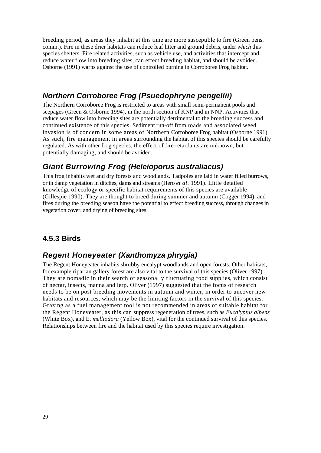breeding period, as areas they inhabit at this time are more susceptible to fire (Green pens. comm.). Fire in these drier habitats can reduce leaf litter and ground debris, under *which* this species shelters. Fire related activities, such as vehicle use, and activities that intercept and reduce water flow into breeding sites, can effect breeding habitat, and should be avoided. Osborne (1991) warns against the use of controlled burning in Corroboree Frog habitat.

### <span id="page-34-0"></span>*Northern Corroboree Frog (Psuedophryne pengellii)*

The Northern Corroboree Frog is restricted to areas with small semi-permanent pools and seepages (Green & Osborne 1994), in the north section of KNP and in NNP. Activities that reduce water flow into breeding sites are potentially detrimental to the breeding success and continued existence of this species. Sediment run-off from roads and associated weed invasion is of concern in some areas of Northern Corroboree Frog habitat (Osborne 1991). As such, fire management in areas surrounding the habitat of this species should be carefully regulated. As with other frog species, the effect of fire retardants are unknown, but potentially damaging, and should be avoided.

### <span id="page-34-1"></span>*Giant Burrowing Frog (Heleioporus australiacus)*

This frog inhabits wet and dry forests and woodlands. Tadpoles are laid in water filled burrows, or in damp vegetation in ditches, dams and streams (Hero *et a!.* 1991). Little detailed knowledge of ecology or specific habitat requirements of this species are available (Gillespie 1990). They are thought to breed during summer and autumn (Cogger 1994), and fires during the breeding season have the potential to effect breeding success, through changes in vegetation cover, and drying of breeding sites.

### <span id="page-34-2"></span>**4.5.3 Birds**

### <span id="page-34-3"></span>*Regent Honeyeater (Xanthomyza phrygia)*

The Regent Honeyeater inhabits shrubby eucalypt woodlands and open forests. Other habitats, for example riparian gallery forest are also vital to the survival of this species (Oliver 1997). They are nomadic in their search of seasonally fluctuating food supplies, which consist of nectar, insects, manna and lerp. Oliver (1997) suggested that the focus of research needs to be on post breeding movements in autumn and winter, in order to uncover new habitats and resources, which may be the limiting factors in the survival of this species. Grazing as a fuel management tool is not recommended in areas of suitable habitat for the Regent Honeyeater, as this can suppress regeneration of trees, such as *Eucalyptus albens*  (White Box), and E. *melliodora* (Yellow Box), vital for the continued survival of this species. Relationships between fire and the habitat used by this species require investigation.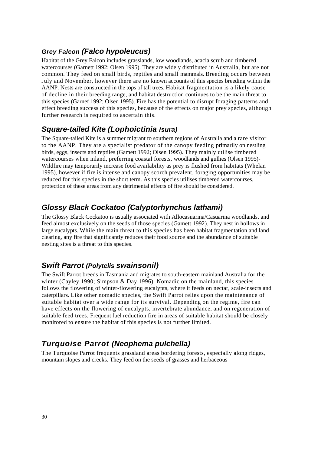#### <span id="page-35-0"></span>*Grey Falcon (Falco hypoleucus)*

Habitat of the Grey Falcon includes grasslands, low woodlands, acacia scrub and timbered watercourses (Garnett 1992; Olsen 1995). They are widely distributed in Australia, but are not common. They feed on small birds, reptiles and small mammals. Breeding occurs between July and November, however there are no known accounts of this species breeding within the AANP. Nests are constructed in the tops of tall trees. Habitat fragmentation is a likely cause of decline in their breeding range, and habitat destruction continues to be the main threat to this species (Garnef 1992; Olsen 1995). Fire has the potential to disrupt foraging patterns and effect breeding success of this species, because of the effects on major prey species, although further research is required to ascertain this.

### <span id="page-35-1"></span>*Square-tailed Kite (Lophoictinia isura)*

The Square-tailed Kite is a summer migrant to southern regions of Australia and a rare visitor to the AANP. They are a specialist predator of the canopy feeding primarily on nestling birds, eggs, insects and reptiles (Gamett 1992; Olsen 1995). They mainly utilise timbered watercourses when inland, preferring coastal forests, woodlands and gullies (Olsen 1995)- Wildfire may temporarily increase food availability as prey is flushed from habitats (Whelan 1995), however if fire is intense and canopy scorch prevalent, foraging opportunities may be reduced for this species in the short term. As this species utilises timbered watercourses, protection of these areas from any detrimental effects of fire should be considered.

### <span id="page-35-2"></span>*Glossy Black Cockatoo (Calyptorhynchus lathami)*

The Glossy Black Cockatoo is usually associated with Allocasuarina/Casuarina woodlands, and feed almost exclusively on the seeds of those species (Gamett 1992). They nest in hollows in large eucalypts. While the main threat to this species has been habitat fragmentation and land clearing, any fire that significantly reduces their food source and the abundance of suitable nesting sites is a threat to this species.

### <span id="page-35-3"></span>*Swift Parrot (Polytelis swainsonil)*

The Swift Parrot breeds in Tasmania and migrates to south-eastern mainland Australia for the winter (Cayley 1990; Simpson & Day 1996). Nomadic on the mainland, this species follows the flowering of winter-flowering eucalypts, where it feeds on nectar, scale-insects and caterpillars. Like other nomadic species, the Swift Parrot relies upon the maintenance of suitable habitat over a wide range for its survival. Depending on the regime, fire can have effects on the flowering of eucalypts, invertebrate abundance, and on regeneration of suitable feed trees. Frequent fuel reduction fire in areas of suitable habitat should be closely monitored to ensure the habitat of this species is not further limited.

### <span id="page-35-4"></span>*Turquoise Parrot (Neophema pulchella)*

The Turquoise Parrot frequents grassland areas bordering forests, especially along ridges, mountain slopes and creeks. They feed on the seeds of grasses and herbaceous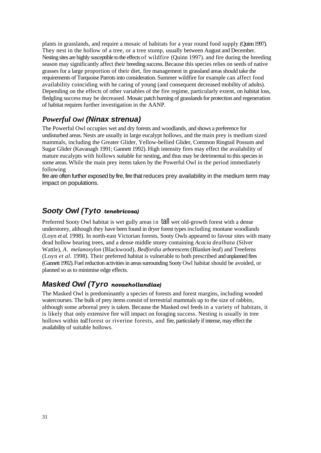plants in grasslands, and require a mosaic of habitats for a year round food supply (Quinn 1997). They nest in the hollow of a tree, or a tree stump, usually between August and December. Nesting sites are highly susceptible to the effects of wildfire (Quinn 1997). and fire during the breeding season may significantly affect their breeding success. Because this species relies on seeds of native grasses for a large proportion of their diet, fire management in grassland areas should take the requirements of Turquoise Parrots into consideration. Summer wildfire for example can affect food availability coinciding with he caring of young (and consequent decreased mobility of adults). Depending on the effects of other variables of the fire regime, particularly extent, on habitat loss, fledgling success may be decreased. Mosaic patch burning of grasslands for protection and regeneration of habitat requires further investigation in the AANP.

### <span id="page-36-0"></span>*Powerful Owl (Ninax strenua)*

The Powerful Owl occupies wet and dry forests and woodlands, and shows a preference for undisturbed areas. Nests are usually in large eucalypt hollows, and the main prey is medium sized mammals, including the Greater Glider, Yellow-bellied Glider, Common Ringtail Possum and Sugar Glider (Kavanagh 1991; Gannett 1992). High intensity fires may effect the availability of mature eucalypts with hollows suitable for nesting, and thus may be detrimental to this species in some areas. While the main prey items taken by the Powerful Owl in the period immediately following

fire are often further exposed by fire, fire that reduces prey availability in the medium term may impact on populations.

#### <span id="page-36-1"></span>*Sooty Owl (Tyto tenebricosa)*

Preferred Sooty Owl habitat is wet gully areas in tall wet old-growth forest with a dense understorey, although they have been found in dryer forest types including montane woodlands (Loyn *et al.* 1998). In north-east Victorian forests, Sooty Owls appeared to favour sites with many dead hollow bearing trees, and a dense middle storey containing *Acacia dealbata* (Silver Wattle), *A. melanoxylon* (Blackwood), *Bedfordia arborescens* (Blanket-leaf) and Treeferns (Loyn *et al.* 1998). Their preferred habitat is vulnerable to both prescribed and unplanned fires (Gannett 1992). Fuel reduction activities in areas surrounding Sooty Owl habitat should be avoided, or planned so as to minimise edge effects.

#### <span id="page-36-2"></span>*Masked Owl (Tyro novaehollandiae)*

The Masked Owl is predominantly a species of forests and forest margins, including wooded watercourses. The bulk of prey items consist of terrestrial mammals up to the size of rabbits, although some arboreal prey is taken. Because the Masked owl feeds in a variety of habitats, it is likely that only extensive fire will impact on foraging success. Nesting is usually in tree hollows within *tall* forest or riverine forests, and fire, particularly if intense, may effect the availability of suitable hollows.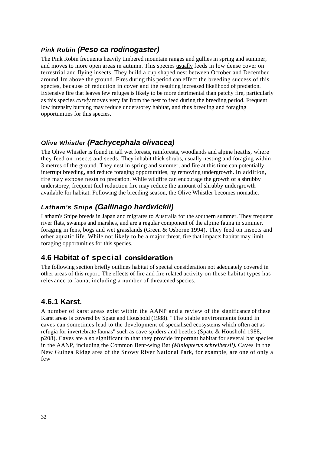#### <span id="page-37-0"></span>*Pink Robin (Peso ca rodinogaster)*

The Pink Robin frequents heavily timbered mountain ranges and gullies in spring and summer, and moves to more open areas in autumn. This species usually feeds in low dense cover on terrestrial and flying insects. They build a cup shaped nest between October and December around 1m above the ground. Fires during this period can effect the breeding success of this species, because of reduction in cover and the resulting increased likelihood of predation. Extensive fire that leaves few refuges is likely to be more detrimental than patchy fire, particularly as this species *rarely* moves very far from the nest to feed during the breeding period. Frequent low intensity burning may reduce understorey habitat, and thus breeding and foraging opportunities for this species.

#### <span id="page-37-1"></span>*Olive Whistler (Pachycephala olivacea)*

The Olive Whistler is found in tall wet forests, rainforests, woodlands and alpine heaths, where they feed on insects and seeds. They inhabit thick shrubs, usually nesting and foraging within 3 metres of the ground. They nest in spring and summer, and fire at this time can potentially interrupt breeding, and reduce foraging opportunities, by removing undergrowth. In addition, fire may expose nests to predation. While wildfire can encourage the growth of a shrubby understorey, frequent fuel reduction fire may reduce the amount of shrubby undergrowth available for habitat. Following the breeding season, the Olive Whistler becomes nomadic.

### <span id="page-37-2"></span>*Latham's Snipe (Gallinago hardwickii)*

Latham's Snipe breeds in Japan and migrates to Australia for the southern summer. They frequent river flats, swamps and marshes, and are a regular component of the alpine fauna in summer, foraging in fens, bogs and wet grasslands (Green & Osborne 1994). They feed on insects and other aquatic life. While not likely to be a major threat, fire that impacts habitat may limit foraging opportunities for this species.

### <span id="page-37-3"></span>**4.6 Habitat of special consideration**

The following section briefly outlines habitat of special consideration not adequately covered in other areas of this report. The effects of fire and fire related activity on these habitat types has relevance to fauna, including a number of threatened species.

### <span id="page-37-4"></span>**4.6.1 Karst.**

A number of karst areas exist within the AANP and a review of the significance of these Karst areas is covered by Spate and Houshold (1988). "The stable environments found in caves can sometimes lead to the development of specialised ecosystems which often act as refugia for invertebrate faunas" such as cave spiders and beetles (Spate & Houshold 1988, p208). Caves ate also significant in that they provide important habitat for several bat species in the AANP, including the Common Bent-wing Bat *(Miniopterus schreibersii).* Caves in the New Guinea Ridge area of the Snowy River National Park, for example, are one of only a few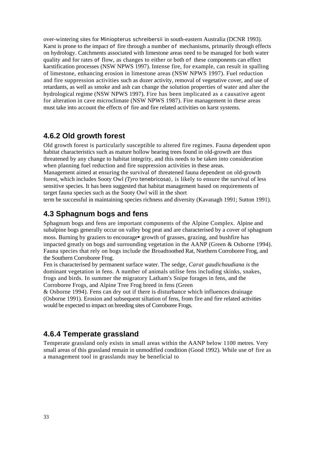over-wintering sites for *Miniopterus schreibersii* in south-eastern Australia (DCNR 1993). Karst is prone to the impact *of* fire through a number *of* mechanisms, primarily through effects on hydrology. Catchments associated with limestone areas need to be managed for both water quality and for rates *of* flow, as changes to either or both *of* these components can effect karstification processes (NSW NPWS 1997). Intense fire, for example, can result in spalling of limestone, enhancing erosion in limestone areas (NSW NPWS 1997). Fuel reduction and fire suppression activities such as dozer activity, removal of vegetative cover, and use of retardants, as well as smoke and ash can change the solution properties of water and alter the hydrological regime (NSW NPWS 1997). Fire has been implicated as a causative agent for alteration in cave microclimate (NSW NPWS 1987). Fire management in these areas must take into account the effects *of* fire and fire related activities on karst systems.

#### <span id="page-38-0"></span>**4.6.2 Old growth forest**

Old growth forest is particularly susceptible to altered fire regimes. Fauna dependent upon habitat characteristics such as mature hollow bearing trees found in old-growth are thus threatened by any change to habitat integrity, and this needs to be taken into consideration when planning fuel reduction and fire suppression activities in these areas.

Management aimed at ensuring the survival *of* threatened fauna dependent on old-growth forest, which includes Sooty Owl *(Tyro tenebricosa),* is likely to ensure the survival of less sensitive species. It has been suggested that habitat management based on requirements of target fauna species such as the Sooty Owl will in the short

term be successful in maintaining species richness and diversity (Kavanagh 1991; Sutton 1991).

#### <span id="page-38-1"></span>**4.3 Sphagnum bogs and fens**

Sphagnum bogs and fens are important components of the Alpine Complex. Alpine and subalpine bogs generally occur on valley bog peat and are characterised by a cover of sphagnum moss. Burning by graziers to encourage• growth of grasses, grazing, and bushfire has impacted greatly on bogs and surrounding vegetation in the AANP (Green & Osborne 1994). Fauna species that rely on bogs include the Broadtoothed Rat, Northern Corroboree Frog, and the Southern Corroboree Frog.

Fen is characterised by permanent surface water. The sedge, *Carat gaudichaudiana is* the dominant vegetation in fens. A number of animals utilise fens including skinks, snakes, frogs and birds. In summer the migratory Latham's Snipe forages in fens, and the Corroboree Frogs, and Alpine Tree Frog breed in fens (Green

& Osborne 1994). Fens can dry out if there is disturbance which influences drainage (Osborne 1991). Erosion and subsequent siltation of fens, from fire and fire related activities would be expected to impact on breeding sites of Corroboree Frogs.

### <span id="page-38-2"></span>**4.6.4 Temperate grassland**

Temperate grassland only exists in small areas within the AANP below 1100 metres. Very small areas of this grassland remain in unmodified condition (Good 1992). While use *of* fire as a management tool in grasslands may be beneficial to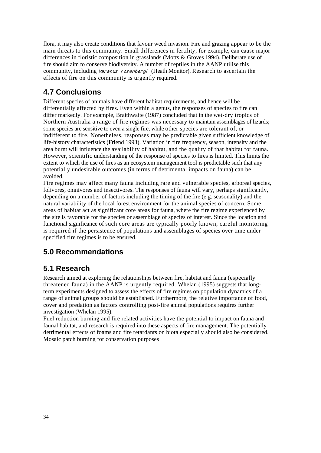flora, it may also create conditions that favour weed invasion. Fire and grazing appear to be the main threats to this community. Small differences in fertility, for example, can cause major differences in floristic composition in grasslands (Motts & Groves 1994). Deliberate use of fire should aim to conserve biodiversity. A number of reptiles in the AANP utilise this community, including *Varanus rosenbergi* (Heath Monitor). Research to ascertain the effects of fire on this community is urgently required.

### <span id="page-39-0"></span>**4.7 Conclusions**

Different species of animals have different habitat requirements, and hence will be differentially affected by fires. Even within a genus, the responses of species to fire can differ markedly. For example, Braithwaite (1987) concluded that in the wet-dry tropics of Northern Australia a range of fire regimes was necessary to maintain assemblages of lizards; some species are sensitive to even a single fire, while other species are tolerant of, or indifferent to fire. Nonetheless, responses may be predictable given sufficient knowledge of life-history characteristics (Friend 1993). Variation in fire frequency, season, intensity and the area burnt will influence the availability of habitat, and the quality of that habitat for fauna. However, scientific understanding of the response of species to fires is limited. This limits the extent to which the use of fires as an ecosystem management tool is predictable such that any potentially undesirable outcomes (in terms of detrimental impacts on fauna) can be avoided.

Fire regimes may affect many fauna including rare and vulnerable species, arboreal species, folivores, omnivores and insectivores. The responses of fauna will vary, perhaps significantly, depending on a number of factors including the timing of the fire (e.g. seasonality) and the natural variability of the local forest environment for the animal species of concern. Some areas of habitat act as significant core areas for fauna, where the fire regime experienced by the site is favorable for the species or assemblage of species of interest. Since the location and functional significance of such core areas are typically poorly known, careful monitoring is required if the persistence of populations and assemblages of species over time under specified fire regimes is to be ensured.

### <span id="page-39-1"></span>**5.0 Recommendations**

### <span id="page-39-2"></span>**5.1 Research**

Research aimed at exploring the relationships between fire, habitat and fauna (especially threatened fauna) in the AANP is urgently required. Whelan (1995) suggests that longterm experiments designed to assess the effects of fire regimes on population dynamics of a range of animal groups should be established. Furthermore, the relative importance of food, cover and predation as factors controlling post-fire animal populations requires further investigation (Whelan 1995).

Fuel reduction burning and fire related activities have the potential to impact on fauna and faunal habitat, and research is required into these aspects of fire management. The potentially detrimental effects of foams and fire retardants on biota especially should also be considered. Mosaic patch burning for conservation purposes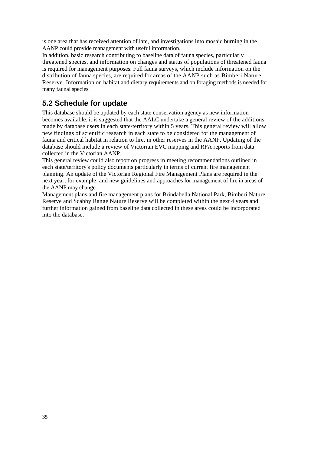is one area that has received attention of late, and investigations into mosaic burning in the AANP could provide management with useful information.

In addition, basic research contributing to baseline data of fauna species, particularly threatened species, and information on changes and status of populations of threatened fauna is required for management purposes. Full fauna surveys, which include information on the distribution of fauna species, are required for areas of the AANP such as Bimberi Nature Reserve. Information on habitat and dietary requirements and on foraging methods is needed for many faunal species.

### <span id="page-40-0"></span>**5.2 Schedule for update**

This database should be updated by each state conservation agency as new information becomes available. it is suggested that the AALC undertake a general review of the additions made by database users in each state/territory within 5 years. This general review will allow new findings of scientific research in each state to be considered for the management of fauna and critical habitat in relation to fire, in other reserves in the AANP. Updating of the database should include a review of Victorian EVC mapping and RFA reports from data collected in the Victorian AANP.

This general review could also report on progress in meeting recommendations outlined in each state/territory's policy documents particularly in terms of current fire management planning. An update of the Victorian Regional Fire Management Plans are required in the next year, for example, and new guidelines and approaches for management of fire in areas of the AANP may change.

Management plans and fire management plans for Brindabella National Park, Bimberi Nature Reserve and Scabby Range Nature Reserve will be completed within the next 4 years and further information gained from baseline data collected in these areas could be incorporated into the database.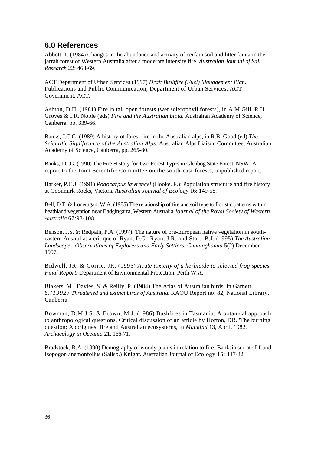#### <span id="page-41-0"></span>**6.0 References**

Abbott, 1. (1984) Changes in the abundance and activity of cerfain soil and litter fauna in the jarrah forest of Western Australia after a moderate intensity fire. *Australian Journal of Sail Research* 22: 463-69.

ACT Department of Urban Services (1997) *Draft Bushfire (Fuel) Management Plan.*  Publications and Public Communication, Department of Urban Services, ACT Government, ACT.

Ashton, D.H. (1981) Fire in tall open forests (wet sclerophyll forests), in A.M.Gill, R.H. Groves & I.R. Noble (eds) *Fire and the Australian biota.* Australian Academy of Science, Canberra, pp. 339-66.

Banks, J.C.G. (1989) A history of forest fire in the Australian alps, in R.B. Good (ed) *The Scientific Significance of the Australian Alps.* Australian Alps Liaison Committee, Australian Academy of Science, Canberra, pp. 265-80.

Banks, J.C.G. (1990) The Fire History for Two Forest Types in Glenbog State Forest, NSW. A report to the Joint Scientific Committee on the south-east forests, unpublished report.

Barker, P.C.J. (1991) *Podocarpus lawrencei* (Hooke. F.): Population structure and fire history at Goonmirk Rocks, Victoria *Australian Journal of Ecology* 16: 149-58.

Bell, D.T. & Loneragan, W.A. (1985) The relationship of fire and soil type to floristic patterns within heathland vegetation near Badgingarra, Western Australia *Journal of the Royal Society of Western Australia* 67:98-108.

Benson, J.S. & Redpath, P.A. (1997). The nature of pre-European native vegetation in southeastern Australia: a critique of Ryan, D.G., Ryan, J.R. and Start, B.J. (1995) *The Australian Landscape - Observations of Explorers and Early Settlers. Cunninghamia* 5(2) December 1997.

Bidwell, JR. & Gorrie, JR. (1995) *Acute toxicity of a herbicide to selected frog species, Final Report.* Department of Environmental Protection, Perth W.A.

Blakers, M., Davies, S. & Reilly, P. (1984) The Atlas of Australian birds. in Garnett, *S.(1992) Threatened and extinct birds of Australia.* RAOU Report no. 82, National Library, Canberra

Bowman, D.M.J.S. & Brown, M.J. (1986) Bushfires in Tasmania: A botanical approach to anthropological questions. Critical discussion of an article by Horton, DR. 'The burning question: Aborigines, fire and Australian ecosysterns, in *Mankind* 13, April, 1982. *Archaeology in Oceania* 21: 166-71.

Bradstock, R.A. (1990) Demography of woody plants in relation to fire: Banksia serrate Lf and Isopogon anemonfolius (Salisb.) Knight. Australian Journal of Ecology 15: 117-32.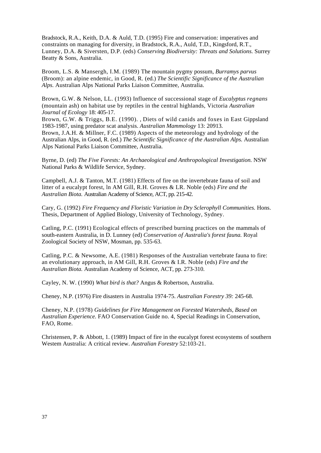Bradstock, R.A., Keith, D.A. & Auld, T.D. (1995) Fire and conservation: imperatives and constraints on managing for diversity, in Bradstock, R.A., Auld, T.D., Kingsford, R.T., Lunney, D.A. & Siversten, D.P. (eds) *Conserving Biodiversity: Threats and Solutions.* Surrey Beatty & Sons, Australia.

Broom, L.S. & Mansergh, I.M. (1989) The mountain pygmy possum, *Burramys parvus*  (Broom): an alpine endemic, in Good, R. (ed.) *The Scientific Significance of the Australian Alps.* Australian Alps National Parks Liaison Committee, Australia.

Brown, G.W. & Nelson, LL. (1993) Influence of successional stage of *Eucalyptus regnans*  (mountain ash) on habitat use by reptiles in the central highlands, Victoria *Australian Journal of Ecology* 18: 405-17.

Brown, G.W. & Triggs, B.E. (1990). , Diets of wild canids and foxes in East Gippsland 1983-1987, using predator scat analysis. *Australian Mammology* 13: 20913.

Brown, J.A.H. & Millner, F.C. (1989) Aspects of the meteorology and hydrology of the Australian Alps, in Good, R. (ed.) *The Scientific Significance of the Australian Alps.* Australian Alps National Parks Liaison Committee, Australia.

Byrne, D. (ed) *The Five Forests: An Archaeological and Anthropological Investigation.* NSW National Parks & Wildlife Service, Sydney.

Campbell, A.J. & Tanton, M.T. (1981) Effects of fire on the invertebrate fauna of soil and litter of a eucalypt forest, ln AM Gill, R.H. Groves & LR. Noble (eds) *Fire and the Australian Biota.* Australian Academy of Science, ACT, pp. 215-42.

Cary, G. (1992) *Fire Frequency and Floristic Variation in Dry Sclerophyll Communities.* Hons. Thesis, Department of Applied Biology, University of Technology, Sydney.

Catling, P.C. (1991) Ecological effects of prescribed burning practices on the mammals of south-eastern Australia, in D. Lunney (ed) *Conservation of Australia's forest fauna.* Royal Zoological Society of NSW, Mosman, pp. 535-63.

Catling, P.C. & Newsome, A.E. (1981) Responses of the Australian vertebrate fauna to fire: an evolutionary approach, in AM Gill, R.H. Groves & I.R. Noble (eds) *Fire and the Australian Biota.* Australian Academy of Science, ACT, pp. 273-310.

Cayley, N. W. (1990) *What bird is that?* Angus & Robertson, Australia.

Cheney, N.P. (1976) Fire disasters in Australia 1974-75. *Australian Forestry 39:* 245-68.

Cheney, N.P. (1978) *Guidelines for Fire Management on Forested Watersheds, Based on Australian Experience.* FAO Conservation Guide no. 4, Special Readings in Conservation, FAO, Rome.

Christensen, P. & Abbott, 1. (1989) Impact of fire in the eucalypt forest ecosystems of southern Westem Australia: A critical review. *Australian Forestry* 52:103-21.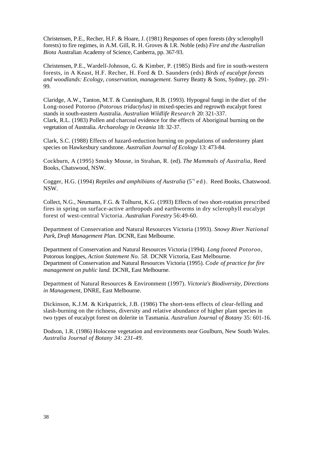Christensen, P.E., Recher, H.F. & Hoare, J. (1981) Responses of open forests (dry sclerophyll forests) to fire regimes, in A.M. Gill, R. H. Groves & I.R. Noble (eds) *Fire and the Australian Biota* Australian Academy of Science, Canberra, pp. 367-93.

Christensen, P.E., Wardell-Johnson, G. & Kimber, P. (1985) Birds and fire in south-western forests, in A Keast, H.F. Recher, H. Ford & D. Saunders (eds) *Birds of eucalypt forests and woodlands: Ecology, conservation, management.* Surrey Beatty & Sons, Sydney, pp. 291- 99.

Claridge, A.W., Tanton, M.T. & Cunningham, R.B. (1993). Hypogeal fungi in the diet of the Long-nosed Potoroo *(Potorous tridactylus)* in mixed-species and regrowth eucalypt forest stands in south-eastern Australia. *Australian Wildlife Research* 20: 321-337. Clark, R.L. (1983) Pollen and charcoal evidence for the effects of Aboriginal burning on the vegetation of Australia. *Archaeology in Oceania* 18: 32-37.

Clark, S.C. (1988) Effects of hazard-reduction burning on populations of understorey plant species on Hawkesbury sandstone. *Australian Journal of Ecology* 13: 473-84.

Cockburn, A (1995) Smoky Mouse, in Strahan, R. (ed). *The Mammals of Australia,* Reed Books, Chatswood, NSW.

Cogger, H.G. (1994) *Reptiles and amphibians of Australia* (5<sup>s ed</sup>). Reed Books, Chatswood. NSW.

Collect, N.G., Neumann, F.G. & Tolhurst, K.G. (1993) Effects of two short-rotation prescribed fires in spring on surface-active arthropods and earthworms in dry sclerophyll eucalypt forest of west-central Victoria. *Australian Forestry* 56:49-60.

Department of Conservation and Natural Resources Victoria (1993). *Snowy River National Park, Draft Management Plan.* DCNR, East Melbourne.

Department of Conservation and Natural Resources Victoria (1994). *Long footed Potoroo,*  Potorous longipes, *Action Statement No. 58.* DCNR Victoria, East Melbourne. Department of Conservation and Natural Resources Victoria (1995). *Code of practice for fire management on public land.* DCNR, East Melbourne.

Department of Natural Resources & Environment (1997). *Victoria's Biodiversity, Directions in Management,* DNRE, East Melbourne.

Dickinson, K.J.M. & Kirkpatrick, J.B. (1986) The short-tens effects of clear-felling and slash-burning on the richness, diversity and relative abundance of higher plant species in two types of eucalypt forest on dolerite in Tasmania. *Australian Journal of Botany* 35: 601-16.

Dodson, 1.R. (1986) Holocene vegetation and environments near Goulburn, New South Wales. *Australia Journal of Botany 34: 231-49.*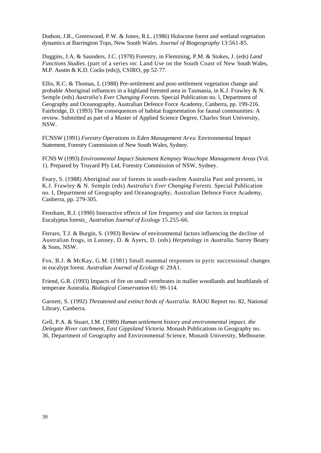Dodson, J.R., Greenwood, P.W. & Jones, R.L. (1986) Holocene forest and wetland vegetation dynamics at Barrington Tops, New South Wales. *Journal of Biogeography* 13:561-85.

Duggins, J.A. & Saunders, J.C. (1978) Forestry, in Flemming, P.M. & Stokes, J. (eds) *Land Functions Studies.* (part of a series on: Land Use on the South Coast of New South Wales, M.P. Austin & K.D. Cocks (eds)), CSIRO, pp 52-77.

Ellis, R.C. & Thomas, L (1988) Pre-settlement and post-settlement vegetation change and probable Aboriginal influences in a highland forested area in Tasmania, in K.J. Frawley & N. Semple (eds) *Australia's Ever Changing Forests.* Special Publication no. l, Department of Geography and Oceanography, Australian Defence Force Academy, Canberra, pp. 199-216. Fairbridge, D. (1993) The consequences of habitat fragmentation for faunal communities: A review. Submitted as part of a Master of Applied Science Degree, Charles Sturt University, NSW.

FCNSW (1991) *Forestry Operations in Eden Management Area* Environmental Impact Statement, Forestry Commission of New South Wales, Sydney.

FCNS W (1993) *Environmental Impact Statement Kempsey Wauchope Management Areas* (Vol. 1). Prepared by Truyard Pfy Ltd, Forestry Commission of NSW, Sydney.

Feary, S. (1988) Aboriginal use of forests in south-easfem Australia Past and present, in K.J. Frawley & N. Semple (eds) *Australia's Ever Changing Forests.* Special Publication no. I, Department of Geography and Oceanography, Australian Defence Force Academy, Canberra, pp. 279-305.

Fensham, R.J. (1990) Interactive effects of fire frequency and site factors in tropical Eucalyptus forests\_ *Australian Journal of Ecology* 15.255-66.

Ferraro, T.J. & Burgin, S. (1993) Review of environmental factors influencing the decline of Australian frogs, in Lunney, D. & Ayers, D. (eds) *Herpetology in Australia.* Surrey Beatty & Sons, NSW.

Fox, B.J. & McKay, G.M. (1981) Small mammal responses to pyric successional changes in eucalypt forest. *Australian Journal of Ecology 6:* 29A1.

Friend, G.R. (1993) Impacts of fire on small vertebrates in mallee woodlands and heathlands of temperate Australia. *Biological Conservation* 65: 99-114.

Garnett, S. (1992) *Threatened and extinct birds of Australia.* RAOU Report no. 82, National Library, Canberra.

Gell, P.A. & Stuart, I.M. (1989) *Human settlement history and environmental impact. the Delegate River catchment, East Gippsland Victoria.* Monash Publications in Geography no. 36, Department of Geography and Environmental Science, Monash University, Melbourne.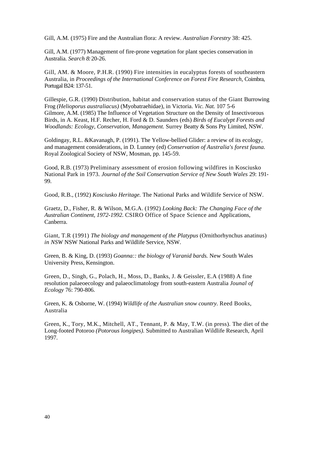Gill, A.M. (1975) Fire and the Australian flora: A review. *Australian Forestry* 38: 425.

Gill, A.M. (1977) Management of fire-prone vegetation for plant species conservation in Australia. *Search 8:* 20-26.

Gill, AM. & Moore, P.H.R. (1990) Fire intensities in eucalyptus forests of southeastern Australia, in *Proceedings of the International Conference on Forest Fire Research,* Coimbra, Portugal B24: 137-51.

Gillespie, G.R. (1990) Distribution, habitat and conservation status of the Giant Burrowing Frog *(Helioporus australiacus)* (Myobatraehidae), in Victoria. *Vic. Nat.* 107 5-6 Gilmore, A.M. (1985) The Influence of Vegetation Structure on the Density of Insectivorous Birds, in A. Keast, H.F. Recher, H. Ford & D. Saunders (eds) *Birds of Eucalypt Forests and Woodlands: Ecology, Conservation, Management.* Surrey Beatty & Sons Pty Limited, NSW.

Goldingay, R.L. &Kavanagh, P. (1991). The Yellow-bellied Glider: a review of its ecology, and management considerations, in D. Lunney (ed) *Conservation of Australia's forest fauna.*  Royal Zoological Society of NSW, Mosman, pp. 145-59.

Good, R.B. (1973) Preliminary assessment of erosion following wildfires in Kosciusko National Park in 1973. *Journal of the Soil Conservation Service of New South Wales* 29: 191- 99.

Good, R.B., (1992) *Kosciusko Heritage.* The National Parks and Wildlife Service of NSW.

Graetz, D., Fisher, R. & Wilson, M.G.A. (1992) *Looking Back: The Changing Face of the Australian Continent, 1972-1992.* CSIRO Office of Space Science and Applications, Canberra.

Giant, T.R (1991) *The biology and management of the Platypus* (Ornithorhynchus anatinus) *in NSW* NSW National Parks and Wildlife Service, NSW.

Green, B. & King, D. (1993) *Goanna:: the biology of Varanid bards.* New South Wales University Press, Kensington.

Green, D., Singh, G., Polach, H., Moss, D., Banks, J. & Geissler, E.A (1988) A fine resolution palaeoecology and palaeoclimatology from south-eastern Australia *Jounal of Ecology* 76: 790-806.

Green, K. & Osborne, W. (1994) *Wildlife of the Australian snow country.* Reed Books, Australia

Green, K., Tory, M.K., Mitchell, AT., Tennant, P. & May, T.W. (in press). The diet of the Long-footed Potoroo *(Potorous longipes).* Submitted to Australian Wildlife Research, April 1997.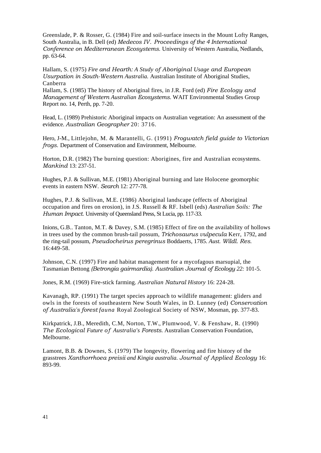Greenslade, P. & Rosser, G. (1984) Fire and soil-surface insects in the Mount Lofty Ranges, South Australia, in B. Dell (ed) *Medecos IV. Proceedings of the 4 International Conference on Mediterranean Ecosystems.* University of Western Australia, Nedlands, pp. 63-64.

Hallam, S. (1975) *Fire and Hearth: A Study of Aboriginal Usage and European Usurpation in South-Western Australia.* Australian Institute of Aboriginal Studies, Canberra

Hallam, S. (1985) The history of Aboriginal fires, in J.R. Ford (ed) *Fire Ecology and Management of Western Australian Ecosystems.* WAIT Environmental Studies Group Report no. 14, Perth, pp. 7-20.

Head, L. (1989) Prehistoric Aboriginal impacts on Australian vegetation: An assessment of the evidence. *Australian Geographer* 20: 3716.

Hero, J-M., Littlejohn, M. & Marantelli, G. (1991) *Frogwatch field guide to Victorian frogs.* Department of Conservation and Environment, Melbourne.

Horton, D.R. (1982) The burning question: Aborigines, fire and Australian ecosystems. *Mankind* 13: 237-51.

Hughes, P.J. & Sullivan, M.E. (1981) Aboriginal burning and late Holocene geomorphic events in eastern NSW. *Search* 12: 277-78.

Hughes, P.J. & Sullivan, M.E. (1986) Aboriginal landscape (effects of Aboriginal occupation and fires on erosion), in J.S. Russell & RF. Isbell (eds) *Australian Soils: The Human Impact.* University of Queensland Press, St Lucia, pp. 117-33.

Inions, G.B.. Tanton, M.T. & Davey, S.M. (1985) Effect of fire on the availability of hollows in trees used by the common brush-tail possum, *Trichosaurus vulpecula* Kerr, 1792, and the ring-tail possum, *Pseudocheirus peregrinus* Boddaerts, 1785. *Aust. Wildl. Res.*  16:449-58.

Johnson, C.N. (1997) Fire and habitat management for a mycofagous marsupial, the Tasmanian Bettong *(Betrongia gairmardia). Australian Journal of Ecology 22:* 101-5.

Jones, R.M. (1969) Fire-stick farming. *Australian Natural History* 16: 224-28.

Kavanagh, RP. (1991) The target species approach to wildlife management: gliders and owls in the forests of southeastern New South Wales, in D. Lunney (ed) *Conservation of Australia's forest fauna* Royal Zoological Society of NSW, Mosman, pp. 377-83.

Kirkpatrick, J.B., Meredith, C.M, Norton, T.W., Plumwood, V. & Fenshaw, R. (1990) *The Ecological Future of Australia's Forests.* Australian Conservation Foundation, Melbourne.

Lamont, B.B. & Downes, S. (1979) The longevity, flowering and fire history of the grasstrees *Xanthorrhoea preisii and Kingia australia. Journal of Applied Ecology* 16: 893-99.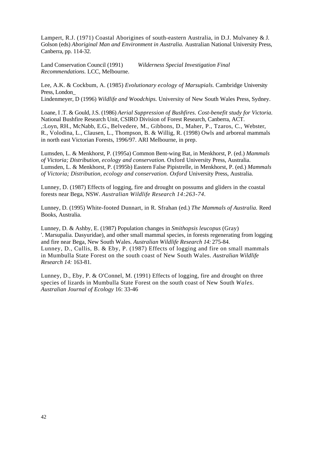Lampert, R.J. (1971) Coastal Aborigines of south-eastern Australia, in D.J. Mulvaney & J. Golson (eds) *Aboriginal Man and Environment in Australia.* Australian National University Press, Canberra, pp. 114-32.

Land Conservation Council (1991) *Wilderness Special Investigation Final Recommendations.* LCC, Melbourne.

Lee, A.K. & Cockbum, A. (1985) *Evolutionary ecology of Marsupials.* Cambridge University Press, London\_

Lindenmeyer, D (1996) *Wildlife and Woodchips.* University of New South Wales Press, Sydney.

Loane, I .T. & Gould, J.S. (1986) *Aerial Suppression of Bushfires. Cost-benefit study for Victoria.*  National Bushfire Research Unit, CSIRO Division of Forest Research, Canberra, ACT. ,:Loyn, RH., McNabb, E.G., Belvedere, M., Gibbons, D., Maher, P., Tzaros, C., Webster, R., Volodina, L., Clausen, L., Thompson, B. & Willig, R. (1998) Owls and arboreal mammals in north east Victorian Forests, 1996/97. ARI Melbourne, in prep.

Lumsden, L. & Menkhorst, P. (1995a) Common Bent-wing Bat, in Menkhorst, P. (ed.) *Mammals of Victoria; Distribution, ecology and conservation.* Oxford University Press, Australia. Lumsden, L. & Menkhorst, P. (1995b) Eastern False Pipistrelle, in Menkhorst, P. (ed.) *Mammals of Victoria; Distribution, ecology and conservation. Oxford* University Press, Australia.

Lunney, D. (1987) Effects of logging, fire and drought on possums and gliders in the coastal forests near Bega, NSW. *Australian Wildlife Research 14:263-74.* 

Lunney, D. (1995) White-footed Dunnart, in R. Sfrahan (ed.) *The Mammals of Australia.* Reed Books, Australia.

Lunney, D. & Ashby, E. (1987) Population changes in *Smithopsis leucopus* (Gray) '. Marsupalia. Dasyuridae), and other small mammal species, in forests regenerating from logging and fire near Bega, New South Wales. *Australian Wildlife Research 14:* 275-84. Lunney, D., Cullis, B. & Eby, P. (1987) Effects of logging and fire on small mammals in Mumbulla State Forest on the south coast of New South Wales. *Australian Wildlife Research 14:* 163-81.

Lunney, D., Eby, P. & O'Connel, M. (1991) Effects of logging, fire and drought on three species of lizards in Mumbulla State Forest on the south coast of New South *Wales. Australian Journal of Ecology* 16: 33-46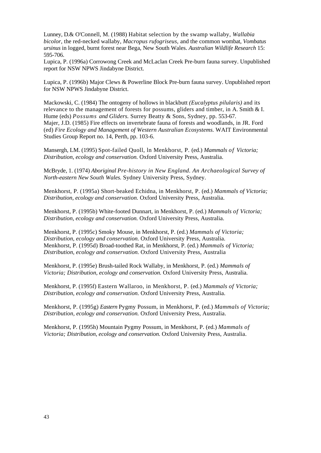Lunney, D. & O'Connell, M. (1988) Habitat selection by the swamp wallaby, *Wallabia bicolor,* the red-necked wallaby, *Macropus rufogriseus,* and the common wombat, *Vombatus ursinus* in logged, burnt forest near Bega, New South Wales. *Australian Wildlife Research* 15: 595-706.

Lupica, P. (1996a) Corrowong Creek and McLaclan Creek Pre-burn fauna survey. Unpublished report for NSW NPWS Jindabyne District.

Lupica, P. (1996b) Major Clews & Powerline Block Pre-burn fauna survey. Unpublished report for NSW NPWS Jindabyne District.

Mackowski, C. (1984) The ontogeny of hollows in blackbutt *(Eucalyptus pilularis)* and its relevance to the management of forests for possums, gliders and timber, in A. Smith  $& 1$ . Hume (eds) *Possums and Gliders.* Surrey Beatty & Sons, Sydney, pp. 553-67. Majer, J.D. (1985) Fire effects on invertebrate fauna of forests and woodlands, in JR. Ford (ed) *Fire Ecology and Management of Western Australian Ecosystems.* WAIT Environmental Studies Group Report no. 14, Perth, pp. 103-6.

Mansergh, LM. (1995) Spot-failed Quoll, ln Menkhorst, P. (ed.) *Mammals of Victoria; Distribution, ecology and conservation.* Oxford University Press, Australia.

McBryde, 1. (1974) *Aboriginal Pre-history in New England. An Archaeological Survey of North-eastern New South Wales.* Sydney University Press, Sydney.

Menkhorst, P. (1995a) Short-beaked Echidna, in Menkhorst, P. (ed.) *Mammals of Victoria; Distribution, ecology and conservation.* Oxford University Press, Australia.

Menkhorst, P. (1995b) White-footed Dunnart, in Menkhorst, P. (ed.) *Mammals of Victoria; Distribution, ecology and conservation.* Oxford University Press, Australia.

Menkhorst, P. (1995c) Smoky Mouse, in Menkhorst, P. (ed.) *Mammals of Victoria; Distribution, ecology and conservation.* Oxford University Press, Australia. Menkhorst, P. (1995d) Broad-toothed Rat, in Menkhorst, P. (ed.) *Mammals of Victoria; Distribution, ecology and conservation.* Oxford University Press, Australia

Menkhorst, P. (1995e) Brush-tailed Rock Wallaby, in Menkhorst, P. (ed.) *Mammals of Victoria; Distribution, ecology and conservation.* Oxford University Press, Australia.

Menkhorst, P. (1995f) Eastern Wallaroo, in Menkhorst, P. (ed.) *Mammals of Victoria; Distribution, ecology and conservation.* Oxford University Press, Australia.

Menkhorst, P. (1995g) *Eastern* Pygmy Possum, in Menkhorst, P. (ed.) *Mammals of Victoria; Distribution, ecology and conservation.* Oxford University Press, Australia.

Menkhorst, P. (1995h) Mountain Pygmy Possum, in Menkhorst, P. (ed.) *Mammals of Victoria; Distribution, ecology and conservation.* Oxford University Press, Australia.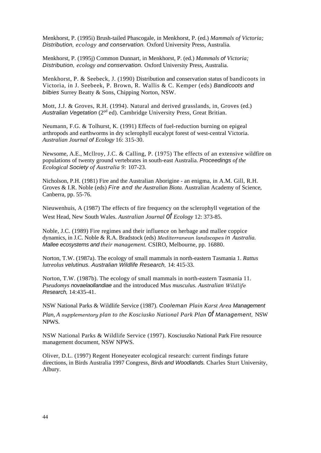Menkhorst, P. (1995i) Brush-tailed Phascogale, in Menkhorst, P. (ed.) *Mammals of Victoria; Distribution, ecology and conservation.* Oxford University Press, Australia.

Menkhorst, P. (1995j) Common Dunnart, in Menkhorst, P. (ed.) *Mammals of Victoria; Distribution, ecology and conservation.* Oxford University Press, Australia.

Menkhorst, P. & Seebeck, J. (1990) Distribution and conservation status of bandicoots in Victoria, in J. Seebeek, P. Brown, R. Wallis & C. Kemper (eds) *Bandicoots and bilbies* Surrey Beatty & Sons, Chipping Norton, NSW.

Mott, J.J. & Groves, R.H. (1994). Natural and derived grasslands, in, Groves (ed.) Australian Vegetation (2<sup>od</sup> ed). Cambridge University Press, Great Britian.

Neumann, F.G. & Tolhurst, K. (1991) Effects of fuel-reduction burning on epigeal arthropods and earthworms in dry sclerophyll eucalypt forest of west-central Victoria. *Australian Journal of Ecology* 16: 315-30.

Newsome, A.E., Mcllroy, J.C. & Calling, P. (1975) The effects of an extensive wildfire on populations of twenty ground vertebrates in south-east Australia. *Proceedings of the Ecological Society of Australia 9:* 107-23.

Nicholson, P.H. (1981) Fire and the Australian Aborigine - an enigma, in A.M. Gill, R.H. Groves & I.R. Noble (eds) *Fire and the Australian Biota.* Australian Academy of Science, Canberra, pp. 55-76.

Nieuwenhuis, A (1987) The effects of fire frequency on the sclerophyll vegetation of the West Head, New South Wales. *Australian Journal of Ecology* 12: 373-85.

Noble, J.C. (1989) Fire regimes and their influence on herbage and mallee coppice dynamics, in J.C. Noble & R.A. Bradstock (eds) *Mediterranean landscapes in Australia. Mallee ecosystems and their management.* CSIRO, Melbourne, pp. 16880.

Norton, T.W. (1987a). The ecology of small mammals in north-eastern Tasmania 1. *Rattus lutreolus velutinus. Australian Wildlife Research,* 14: 415-33.

Norton, T.W. (1987b). The ecology of small mammals in north-eastern Tasmania 11. *Pseudomys novaelaollandiae* and the introduced M*us musculus. Australian Wildlife Research,* 14:435-41.

NSW National Parks & Wildlife Service (1987). *Cooleman Plain Karst Area Management Plan, A supplementary plan to the Kosciusko National Park Plan of Management,* NSW NPWS.

NSW National Parks & Wildlife Service (1997). Kosciuszko National Park Fire resource management document, NSW NPWS.

Oliver, D.L. (1997) Regent Honeyeater ecological research: current findings future directions, in Birds Australia 1997 Congress, *Birds and Woodlands.* Charles Sturt University, Albury.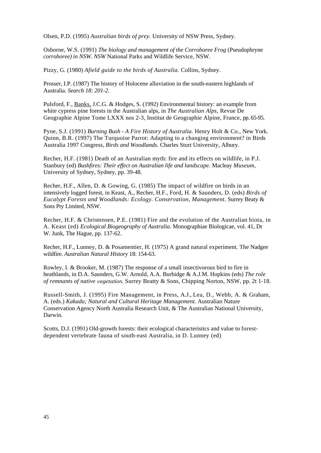Olsen, P.D. (1995) *Australian birds of prey.* University of NSW Press, Sydney.

Osborne, W.S. (1991) *The biology and management of the Corroboree Frog* (Pseudophryne *corroboree) in NSW. NSW* National Parks and Wildlife Service, NSW.

Pizzy, G. (1980) *Afield guide to the birds of Australia.* Collins, Sydney.

Prosser, I.P. (1987) The history of Holocene alluviation in the south-eastern highlands of Australia. *Search 18: 201-2.* 

Pulsford, F., Banks, J.C.G. & Hodges, S. (1992) Environmental history: an example from white cypress pine forests in the Australian alps, in *The Australian Alps,* Revue De Geographie Alpine Tome LXXX nos 2-3, Institut de Geographie Alpine, France, pp. 65-95.

Pyne, S.J. (1991) *Burning Bush - A Fire History of Australia.* Henry Holt & Co., New York. Quinn, B.R. (1997) The Turquoise Parrot: Adapting to a changing environment? in Birds Australia 1997 Congress, *Birds and Woodlands.* Charles Sturt University, Albury.

Recher, H.F. (1981) Death of an Australian myth: fire and its effects on wildlife, in P.J. Stanbury (ed) *Bushfires: Their effect on Australian life and landscape.* Macleay *Museum,*  University of Sydney, Sydney, pp. 39-48.

Recher, H.F., Allen, D. & Gowing, G. (1985) The impact of wildfire on birds in an intensively logged forest, in Keast, A., Recher, H.F., Ford, H. & Saunders, D. (eds) *Birds of Eucalypt Forests and Woodlands: Ecology. Conservation, Management.* Surrey Beaty & Sons Pty Limited, NSW.

Recher, H.F. & Christensen, P.E. (1981) Fire and the evolution of the Australian biota, in A. Keast (ed) *Ecological Biogeography of Australia.* Monographiae Biologicae, vol. 41, Dr W. Junk, The Hague, pp. 137-62.

Recher, H.F., Lunney, D. & Posamentier, H. (1975) A grand natural experiment. The Nadgee wildfire. *Australian Natural History* 18: 154-63.

Rowley, I. & Brooker, M. (1987) The response of a small insectivorous bird to fire in heathlands, in D.A. Saunders, G.W. Arnold, A.A. Burbidge & A.J.M. Hopkins (eds) *The role of remnants of native vegetation.* Surrey Beatty & Sons, Chipping Norton, NSW, pp. 2t 1-18.

Russell-Smith, J. (1995) Fire Management, in Press, A.J., Lea, D., Webb, A. & Graham, A. (eds.) *Kakadu; Natural and Cultural Heritage Management.* Australian Nature Conservation Agency North Australia Research Unit, & The Australian National University, Darwin.

Scotts, D.J. (1991) Old-growth forests: their ecological characteristics and value to forestdependent vertebrate fauna of south-east Australia, in D. Lunney (ed)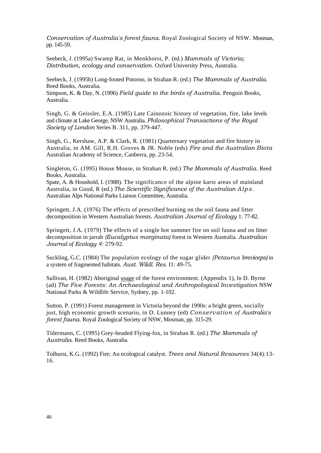*Conservation of Australia's forest fauna.* Royal Zoological Society of NSW. Mosman, pp. 145-59.

Seebeck, J. (1995a) Swamp Rat, in Menkhorst, P. (ed.) *Mammals of Victoria; Distribution, ecology and conservation.* Oxford University Press, Australia.

Seebeck, J. (1995b) Long-footed Potoroo, in Strahan R. (ed.) *The Mammals of Australia.*  Reed Books, Australia.

Simpson, K. & Day, N. (1996) *Field guide to the birds of Australia.* Penguin Books, Australia.

Singh, G. & Geissler, E.A. (1985) Late Cainozoic history of vegetation, fire, lake levels and climate at Lake George, NSW Australia. *Philosophical Transactions of the Royal Society of London* Series B. 311, pp. 379-447.

Singh, G., Kershaw, A.P. & Clark, R. (1981) Quarternary vegetation and fire history in Australia, in AM. Gill, R.H. Groves & JR. Noble (eds) *Fire and the Australian Biota*  Australian Academy of Science, Canberra, pp. 23-54.

Singleton, G. (1995) House Mouse, in Strahan R. (ed.) *The Mammals of Australia.* Reed Books, Australia.

Spate, A. & Houshold, I. (1988). The significance of the alpine karst areas of mainland Australia, in Good, R (ed.) *The Scientific Significance of the Australian Alps.*  Australian Alps National Parks Liaison Committee, Australia.

Springett, J.A. (1976) The effects of prescribed burning on the soil fauna and litter decomposition in Western Australian forests. *Australian Journal of Ecology* 1: 77-82.

Springett, J.A. (1979) The effects of a single hot summer fire on soil fauna and on litter decomposition in jarrah *(Eucalyptus marginata)* forest in Western Australia. *Australian Journal of Ecology 4:* 279-92.

Suckling, G.C. (1984) The population ecology of the sugar glider *(Petaurus breviceps)* in a system of fragmented habitats. *Aust. Wildl. Res.* I1: 49-75.

Sullivan, H. (1982) Aboriginal usage of the forest environment. (Appendix 1), ln D. Byrne (ad) *The Five Forests: An Archaeological and Anthropological Investigation* NSW National Parks & Wildlife Service, Sydney, pp. 1-102.

Sutton, P. (1991) Forest management in Victoria beyond the 1990s: a bright green, socially just, high economic growth scenario, in D. Lunney (ed) *Conservation of Australia's forest fauna.* Royal Zoological Society of NSW, Mosman, pp. 315-29.

Tidermann, C. (1995) Grey-headed Flying-fox, in Strahan R. (ed.) *The Mammals of Australia.* Reed Books, Australia.

Tolhurst, K.G. (1992) Fire; An ecological catalyst. *Trees and Natural Resources* 34(4):13- 16.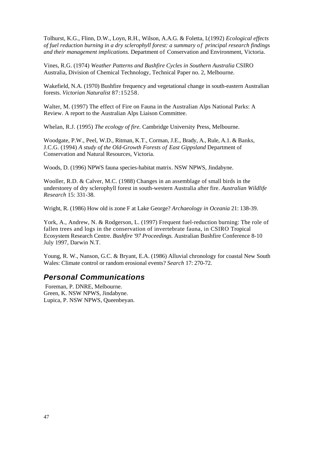Tolhurst, K.G., Flinn, D.W., Loyn, R.H., Wilson, A.A.G. & Foletta, I. (1992) *Ecological effects of fuel reduction burning in a dry sclerophyll forest: a summary of principal research findings and their management implications.* Department of Conservation and Environment, Victoria.

Vines, R.G. (1974) *Weather Patterns and Bushfire Cycles in Southern Australia* CSIRO Australia, Division of Chemical Technology, Technical Paper no. 2, Melbourne.

Wakefield, N.A. (1970) Bushfire frequency and vegetational change in south-eastern Australian forests. *Victorian Naturalist* 87:15258.

Walter, M. (1997) The effect of Fire on Fauna in the Australian Alps National Parks: A Review. A report to the Australian Alps Liaison Committee.

Whelan, R.J. (1995) *The ecology of fire.* Cambridge University Press, Melbourne.

Woodgate, P.W., Peel, W.D., Ritman, K.T., Corman, J.E., Brady, A., Rule, A.1. & Banks, J.C.G. (1994) *A study of the Old-Growth Forests of East Gippsland* Department of Conservation and Natural Resources, Victoria.

Woods, D. (1996) NPWS fauna species-habitat matrix. NSW NPWS, Jindabyne.

Wooller, R.D. & Calver, M.C. (1988) Changes in an assemblage of small birds in the understorey of dry sclerophyll forest in south-western Australia after fire. *Australian Wildlife Research* 15: 331-38.

Wright, R. (1986) How old is zone F at Lake George? *Archaeology in Oceania* 21: 138-39.

York, A., Andrew, N. & Rodgerson, L. (1997) Frequent fuel-reduction burning: The role of fallen trees and logs in the conservation of invertebrate fauna, in CSIRO Tropical Ecosystem Research Centre. *Bushfire '97 Proceedings.* Australian Bushfire Conference 8-10 July 1997, Darwin N.T.

Young, R. W., Nanson, G.C. & Bryant, E.A. (1986) Alluvial chronology for coastal New South Wales: Climate control or random erosional events? *Search* 17: 270-72.

#### <span id="page-52-0"></span>*Personal Communications*

 Foreman, P. DNRE, Melbourne. Green, K. NSW NPWS, Jindabyne. Lupica, P. NSW NPWS, Queenbeyan.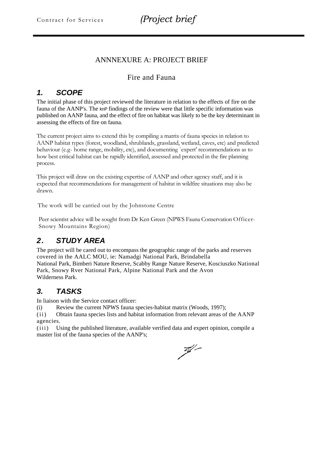#### ANNNEXURE A: PROJECT BRIEF

#### Fire and Fauna

### <span id="page-53-0"></span>*1. SCOPE*

The initial phase of this project reviewed the literature in relation to the effects of fire on the fauna of the AANP's. The knP findings of the review were that little specific information was published on AANP fauna, and the effect of fire on habitat was likely to be the key determinant in assessing the effects of fire on fauna.

The current project aims to extend this by compiling a matrix of fauna species in relation to AANP habitat types (forest, woodland, shrublands, grassland, wetland, caves, etc) and predicted behaviour (e.g- home range, mobility, etc), and documenting `expert' recommendations as to how best critical habitat can be rapidly identified, assessed and protected in the fire planning process.

This project will draw on the existing expertise of AANP and other agency staff, and it is expected that recommendations for management of habitat in wildfire situations may also be drawn.

The work will be carried out by the Johnstone Centre

Peer scientist advice will be sought from Dr Ken Green (NPWS Fauna Conservation Officer-Snowy Mountains Region)

### <span id="page-53-1"></span>*2. STUDY AREA*

The project will be cared out to encompass the geographic range of the parks and reserves covered in the AALC MOU, ie: Namadgi National Park, Brindabella National Park, Bimberi Nature Reserve, Scabby Range Nature Reserve, Kosciuszko National Park, Snowy Rver National Park, Alpine National Park and the Avon Wilderness Park.

### <span id="page-53-2"></span>*3. TASKS*

In liaison with the Service contact officer:

(i) Review the current NPWS fauna species-habitat matrix (Woods, 1997);

( ii ) Obtain fauna species lists and habitat information from relevant areas of the AANP agencies.

(iii) Using the published literature, available verified data and expert opinion, compile a master list of the fauna species of the AANP's;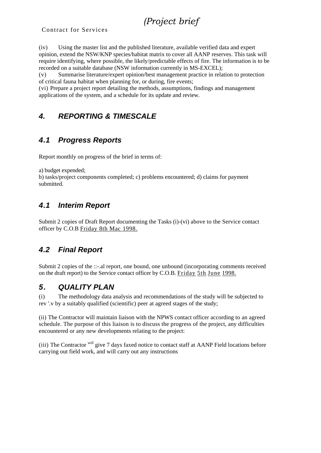# *(Project brief*

Contract for Services

(iv) Using the master list and the published literature, available verified data and expert opinion, extend the NSW/KNP species/habitat matrix to cover all AANP reserves. This task will require identifying, where possible, the likely/predictable effects of fire. The information is to be recorded on a suitable database (NSW information currently in MS-EXCEL);

(v) Summarise literature/expert opinion/best management practice in relation to protection of critical fauna habitat when planning for, or during, fire events;

(vi) Prepare a project report detailing the methods, assumptions, findings and management applications of the system, and a schedule for its update and review.

### <span id="page-54-0"></span>*4. REPORTING & TIMESCALE*

### <span id="page-54-1"></span>*4.1 Progress Reports*

Report monthly on progress of the brief in terms of:

a) budget expended;

```
b) tasks/project components completed; c) problems encountered; d) claims for payment 
submitted.
```
### <span id="page-54-2"></span>*4.1 Interim Report*

Submit 2 copies of Draft Report documenting the Tasks (i)-(vi) above to the Service contact officer by C.O.B Friday 8th Mac 1998.

### <span id="page-54-3"></span>*4.2 Final Report*

Submit 2 copies of the ::-.al report, one bound, one unbound (incorporating comments received on the draft report) to the Service contact officer by C.O.B. Friday 5th June 1998.

#### <span id="page-54-4"></span>*5. QUALITY PLAN*

(i) The methodology data analysis and recommendations of the study will be subjected to rev '.v by a suitably qualified (scientific) peer at agreed stages of the study;

(ii) The Contractor will maintain liaison with the NPWS contact officer according to an agreed schedule. The purpose of this liaison is to discuss the progress of the project, any difficulties encountered or any new developments relating to the project:

(iii) The Contractor will give 7 days faxed notice to contact staff at AANP Field locations before carrying out field work, and will carry out any instructions